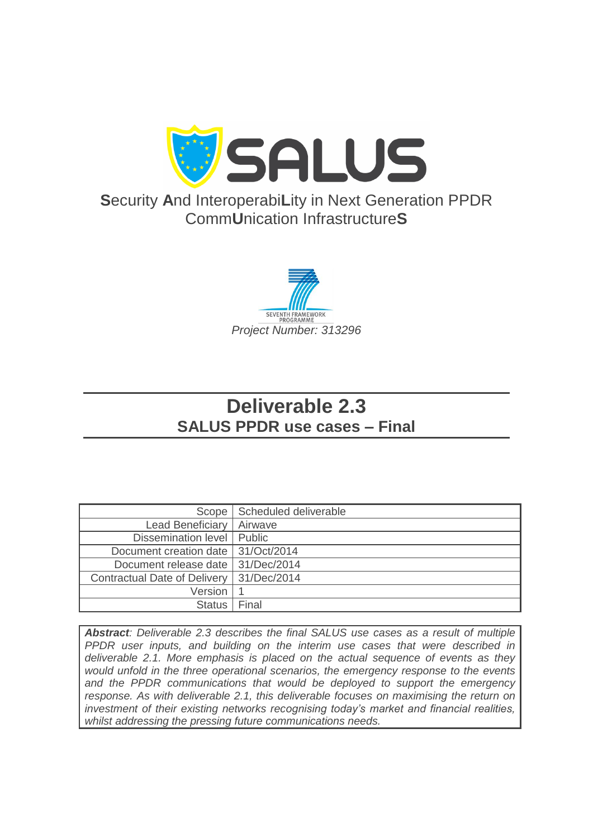

# **S**ecurity **A**nd Interoperabi**L**ity in Next Generation PPDR Comm**U**nication Infrastructure**S**



# **Deliverable 2.3 SALUS PPDR use cases – Final**

| Scope                                | Scheduled deliverable |
|--------------------------------------|-----------------------|
| Lead Beneficiary                     | Airwave               |
| Dissemination level   Public         |                       |
| Document creation date   31/Oct/2014 |                       |
| Document release date                | 31/Dec/2014           |
| <b>Contractual Date of Delivery</b>  | 31/Dec/2014           |
| <b>Version</b>                       |                       |
| <b>Status</b>                        | Final                 |

*Abstract: Deliverable 2.3 describes the final SALUS use cases as a result of multiple PPDR user inputs, and building on the interim use cases that were described in deliverable 2.1. More emphasis is placed on the actual sequence of events as they would unfold in the three operational scenarios, the emergency response to the events and the PPDR communications that would be deployed to support the emergency response. As with deliverable 2.1, this deliverable focuses on maximising the return on investment of their existing networks recognising today's market and financial realities, whilst addressing the pressing future communications needs.*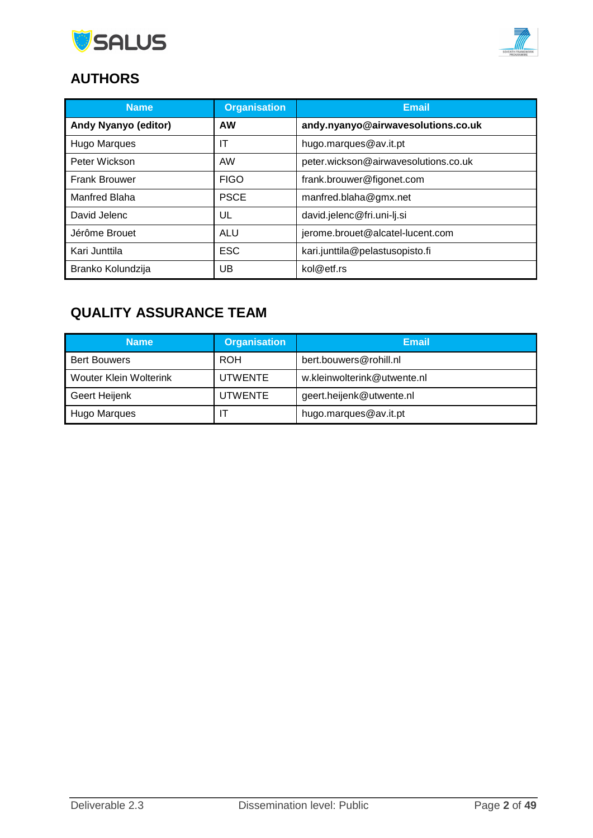



# **AUTHORS**

| <b>Name</b>          | <b>Organisation</b> | <b>Email</b>                         |
|----------------------|---------------------|--------------------------------------|
| Andy Nyanyo (editor) | <b>AW</b>           | andy.nyanyo@airwavesolutions.co.uk   |
| <b>Hugo Marques</b>  | ΙT                  | hugo.marques@av.it.pt                |
| Peter Wickson        | AW                  | peter.wickson@airwavesolutions.co.uk |
| <b>Frank Brouwer</b> | <b>FIGO</b>         | frank.brouwer@figonet.com            |
| <b>Manfred Blaha</b> | <b>PSCE</b>         | manfred.blaha@gmx.net                |
| David Jelenc         | UL                  | david.jelenc@fri.uni-lj.si           |
| Jérôme Brouet        | <b>ALU</b>          | jerome.brouet@alcatel-lucent.com     |
| Kari Junttila        | <b>ESC</b>          | kari.junttila@pelastusopisto.fi      |
| Branko Kolundzija    | UB                  | kol@etf.rs                           |

# **QUALITY ASSURANCE TEAM**

| <b>Name</b>            | <b>Organisation</b> | Email                       |
|------------------------|---------------------|-----------------------------|
| <b>Bert Bouwers</b>    | <b>ROH</b>          | bert.bouwers@rohill.nl      |
| Wouter Klein Wolterink | UTWENTE             | w.kleinwolterink@utwente.nl |
| Geert Heijenk          | UTWENTE             | geert.heijenk@utwente.nl    |
| Hugo Marques           |                     | hugo.marques@av.it.pt       |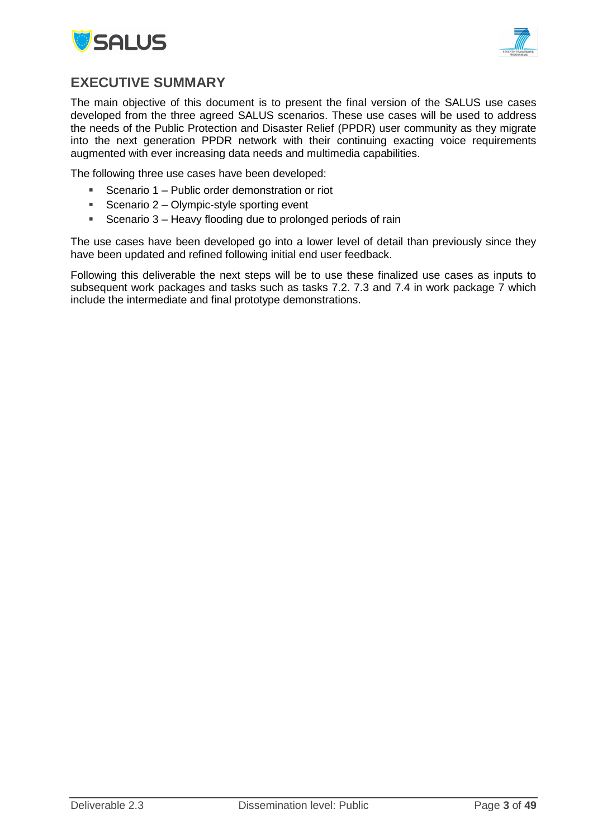



## <span id="page-2-0"></span>**EXECUTIVE SUMMARY**

The main objective of this document is to present the final version of the SALUS use cases developed from the three agreed SALUS scenarios. These use cases will be used to address the needs of the Public Protection and Disaster Relief (PPDR) user community as they migrate into the next generation PPDR network with their continuing exacting voice requirements augmented with ever increasing data needs and multimedia capabilities.

The following three use cases have been developed:

- **Scenario 1 Public order demonstration or riot**
- Scenario  $2 -$  Olympic-style sporting event
- **Scenario 3 Heavy flooding due to prolonged periods of rain**

The use cases have been developed go into a lower level of detail than previously since they have been updated and refined following initial end user feedback.

Following this deliverable the next steps will be to use these finalized use cases as inputs to subsequent work packages and tasks such as tasks 7.2. 7.3 and 7.4 in work package 7 which include the intermediate and final prototype demonstrations.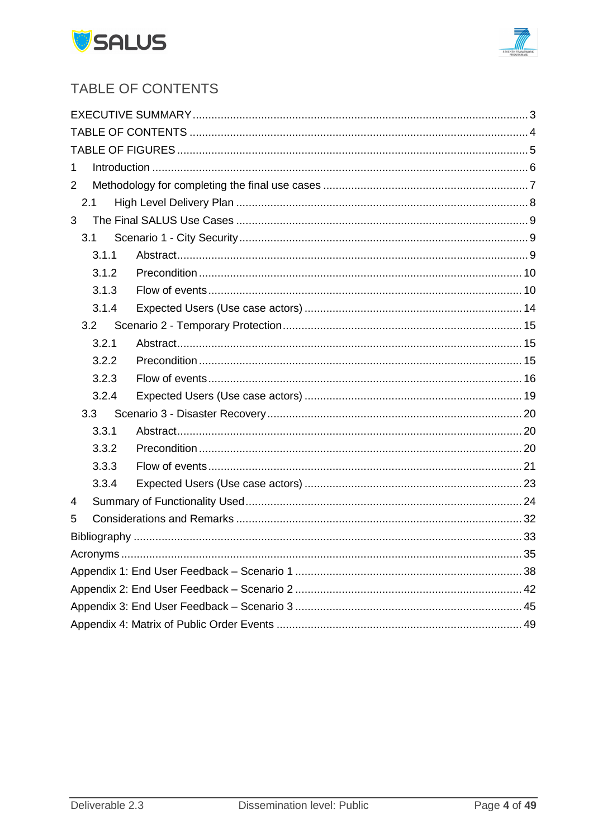



# <span id="page-3-0"></span>TABLE OF CONTENTS

| 1              |  |  |  |  |  |
|----------------|--|--|--|--|--|
| $\overline{2}$ |  |  |  |  |  |
| 2.1            |  |  |  |  |  |
| 3              |  |  |  |  |  |
| 3.1            |  |  |  |  |  |
| 3.1.1          |  |  |  |  |  |
| 3.1.2          |  |  |  |  |  |
| 3.1.3          |  |  |  |  |  |
| 3.1.4          |  |  |  |  |  |
| 3.2            |  |  |  |  |  |
| 3.2.1          |  |  |  |  |  |
| 3.2.2          |  |  |  |  |  |
| 3.2.3          |  |  |  |  |  |
| 3.2.4          |  |  |  |  |  |
| 3.3            |  |  |  |  |  |
| 3.3.1          |  |  |  |  |  |
| 3.3.2          |  |  |  |  |  |
| 3.3.3          |  |  |  |  |  |
| 3.3.4          |  |  |  |  |  |
| 4              |  |  |  |  |  |
| 5              |  |  |  |  |  |
|                |  |  |  |  |  |
|                |  |  |  |  |  |
|                |  |  |  |  |  |
|                |  |  |  |  |  |
|                |  |  |  |  |  |
|                |  |  |  |  |  |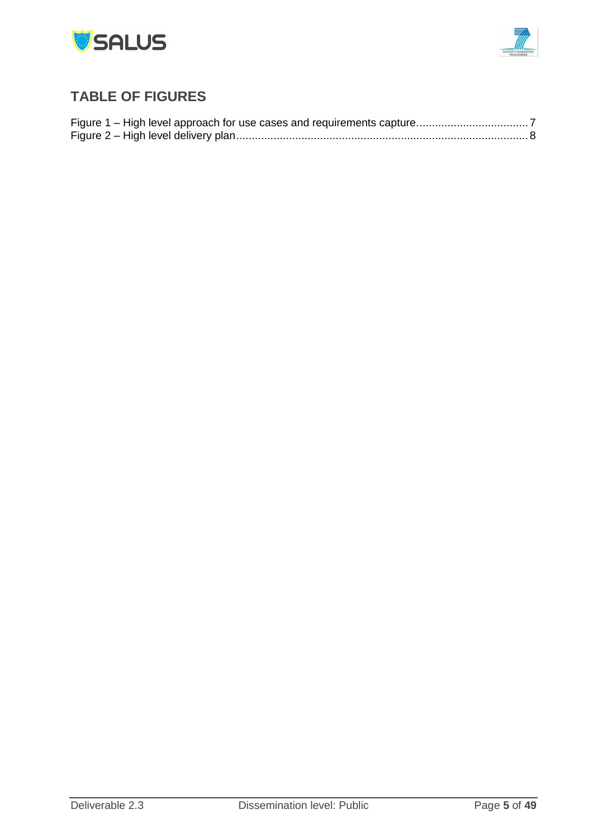



# <span id="page-4-0"></span>**TABLE OF FIGURES**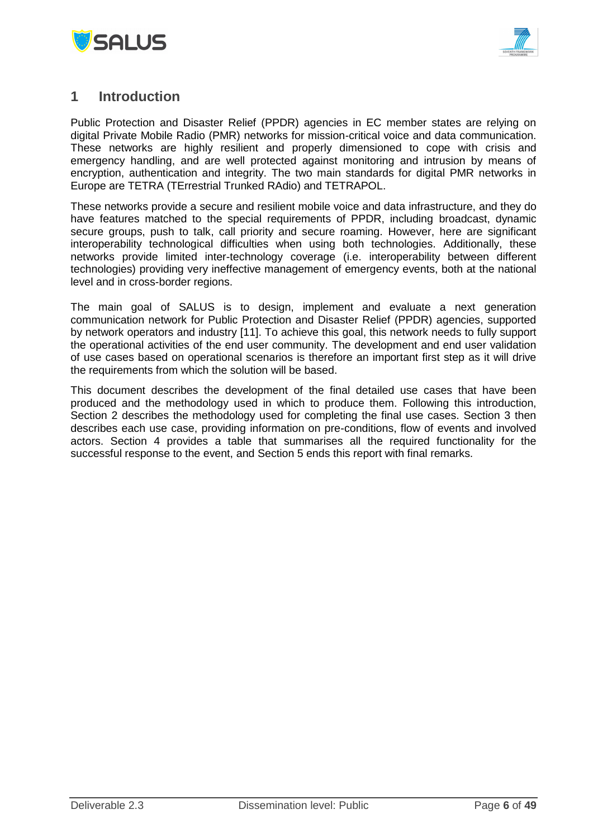



## <span id="page-5-0"></span>**1 Introduction**

Public Protection and Disaster Relief (PPDR) agencies in EC member states are relying on digital Private Mobile Radio (PMR) networks for mission-critical voice and data communication. These networks are highly resilient and properly dimensioned to cope with crisis and emergency handling, and are well protected against monitoring and intrusion by means of encryption, authentication and integrity. The two main standards for digital PMR networks in Europe are TETRA (TErrestrial Trunked RAdio) and TETRAPOL.

These networks provide a secure and resilient mobile voice and data infrastructure, and they do have features matched to the special requirements of PPDR, including broadcast, dynamic secure groups, push to talk, call priority and secure roaming. However, here are significant interoperability technological difficulties when using both technologies. Additionally, these networks provide limited inter-technology coverage (i.e. interoperability between different technologies) providing very ineffective management of emergency events, both at the national level and in cross-border regions.

The main goal of SALUS is to design, implement and evaluate a next generation communication network for Public Protection and Disaster Relief (PPDR) agencies, supported by network operators and industry [11]. To achieve this goal, this network needs to fully support the operational activities of the end user community. The development and end user validation of use cases based on operational scenarios is therefore an important first step as it will drive the requirements from which the solution will be based.

This document describes the development of the final detailed use cases that have been produced and the methodology used in which to produce them. Following this introduction, Section 2 describes the methodology used for completing the final use cases. Section 3 then describes each use case, providing information on pre-conditions, flow of events and involved actors. Section 4 provides a table that summarises all the required functionality for the successful response to the event, and Section 5 ends this report with final remarks.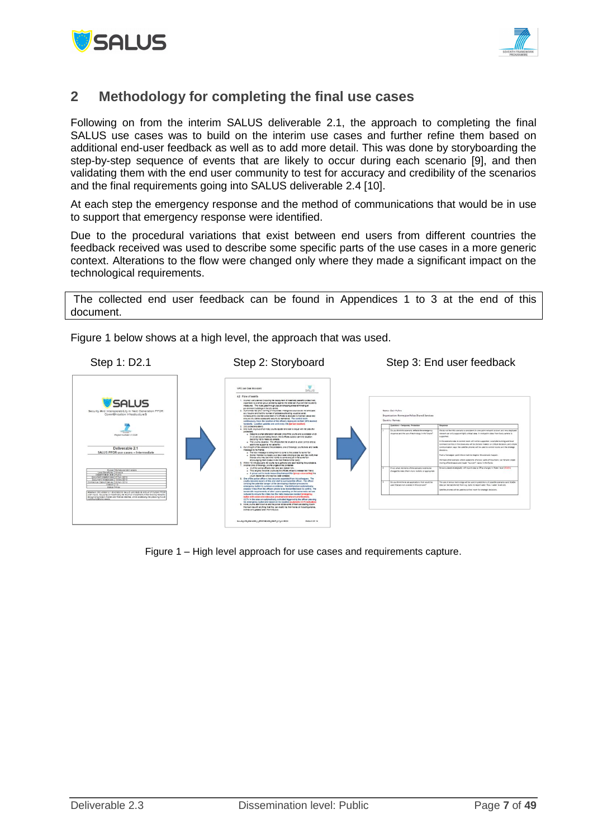



## <span id="page-6-0"></span>**2 Methodology for completing the final use cases**

Following on from the interim SALUS deliverable 2.1, the approach to completing the final SALUS use cases was to build on the interim use cases and further refine them based on additional end-user feedback as well as to add more detail. This was done by storyboarding the step-by-step sequence of events that are likely to occur during each scenario [9], and then validating them with the end user community to test for accuracy and credibility of the scenarios and the final requirements going into SALUS deliverable 2.4 [10].

At each step the emergency response and the method of communications that would be in use to support that emergency response were identified.

Due to the procedural variations that exist between end users from different countries the feedback received was used to describe some specific parts of the use cases in a more generic context. Alterations to the flow were changed only where they made a significant impact on the technological requirements.

The collected end user feedback can be found in Appendices 1 to 3 at the end of this document.



Figure 1 below shows at a high level, the approach that was used.

<span id="page-6-1"></span>Figure 1 – High level approach for use cases and requirements capture.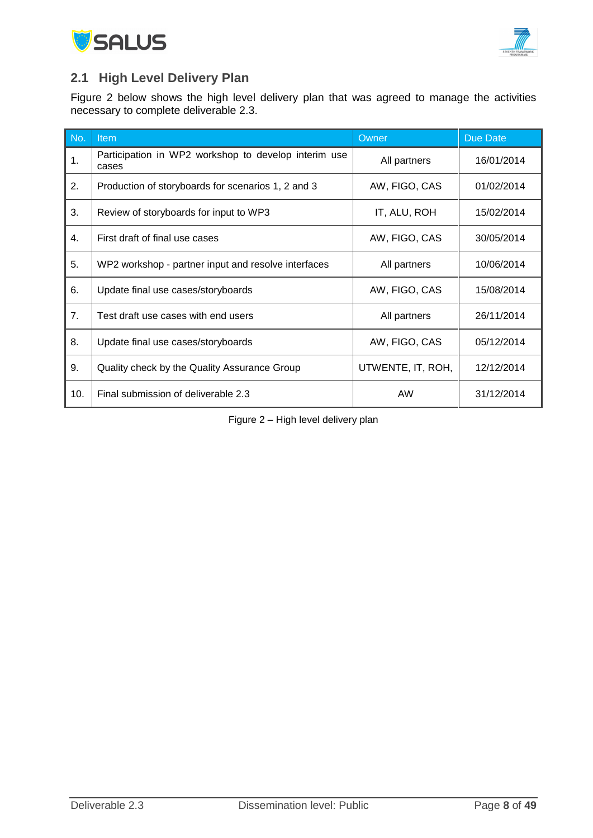



## <span id="page-7-0"></span>**2.1 High Level Delivery Plan**

Figure 2 below shows the high level delivery plan that was agreed to manage the activities necessary to complete deliverable 2.3.

| No. | Item                                                          | Owner             | Due Date   |
|-----|---------------------------------------------------------------|-------------------|------------|
| 1.  | Participation in WP2 workshop to develop interim use<br>cases | All partners      | 16/01/2014 |
| 2.  | Production of storyboards for scenarios 1, 2 and 3            | AW, FIGO, CAS     | 01/02/2014 |
| 3.  | Review of storyboards for input to WP3                        | IT, ALU, ROH      | 15/02/2014 |
| 4.  | First draft of final use cases                                | AW, FIGO, CAS     | 30/05/2014 |
| 5.  | WP2 workshop - partner input and resolve interfaces           | All partners      | 10/06/2014 |
| 6.  | Update final use cases/storyboards                            | AW, FIGO, CAS     | 15/08/2014 |
| 7.  | Test draft use cases with end users                           | All partners      | 26/11/2014 |
| 8.  | Update final use cases/storyboards                            | AW, FIGO, CAS     | 05/12/2014 |
| 9.  | Quality check by the Quality Assurance Group                  | UTWENTE, IT, ROH, | 12/12/2014 |
| 10. | Final submission of deliverable 2.3                           | <b>AW</b>         | 31/12/2014 |

<span id="page-7-1"></span>Figure 2 – High level delivery plan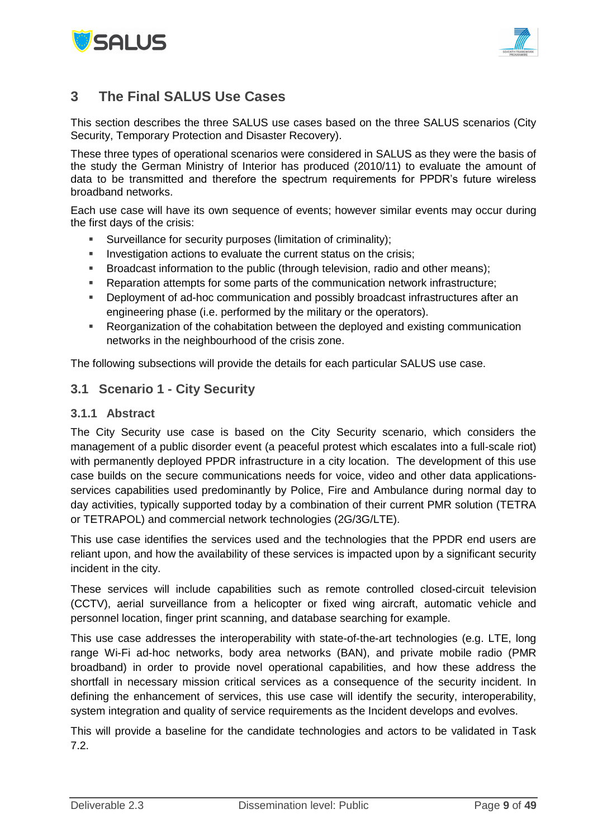



## <span id="page-8-0"></span>**3 The Final SALUS Use Cases**

This section describes the three SALUS use cases based on the three SALUS scenarios (City Security, Temporary Protection and Disaster Recovery).

These three types of operational scenarios were considered in SALUS as they were the basis of the study the German Ministry of Interior has produced (2010/11) to evaluate the amount of data to be transmitted and therefore the spectrum requirements for PPDR's future wireless broadband networks.

Each use case will have its own sequence of events; however similar events may occur during the first days of the crisis:

- Surveillance for security purposes (limitation of criminality);
- Investigation actions to evaluate the current status on the crisis;
- Broadcast information to the public (through television, radio and other means);
- Reparation attempts for some parts of the communication network infrastructure;
- Deployment of ad-hoc communication and possibly broadcast infrastructures after an engineering phase (i.e. performed by the military or the operators).
- Reorganization of the cohabitation between the deployed and existing communication networks in the neighbourhood of the crisis zone.

The following subsections will provide the details for each particular SALUS use case.

## <span id="page-8-1"></span>**3.1 Scenario 1 - City Security**

#### <span id="page-8-2"></span>**3.1.1 Abstract**

The City Security use case is based on the City Security scenario, which considers the management of a public disorder event (a peaceful protest which escalates into a full-scale riot) with permanently deployed PPDR infrastructure in a city location. The development of this use case builds on the secure communications needs for voice, video and other data applicationsservices capabilities used predominantly by Police, Fire and Ambulance during normal day to day activities, typically supported today by a combination of their current PMR solution (TETRA or TETRAPOL) and commercial network technologies (2G/3G/LTE).

This use case identifies the services used and the technologies that the PPDR end users are reliant upon, and how the availability of these services is impacted upon by a significant security incident in the city.

These services will include capabilities such as remote controlled closed-circuit television (CCTV), aerial surveillance from a helicopter or fixed wing aircraft, automatic vehicle and personnel location, finger print scanning, and database searching for example.

This use case addresses the interoperability with state-of-the-art technologies (e.g. LTE, long range Wi-Fi ad-hoc networks, body area networks (BAN), and private mobile radio (PMR broadband) in order to provide novel operational capabilities, and how these address the shortfall in necessary mission critical services as a consequence of the security incident. In defining the enhancement of services, this use case will identify the security, interoperability, system integration and quality of service requirements as the Incident develops and evolves.

This will provide a baseline for the candidate technologies and actors to be validated in Task 7.2.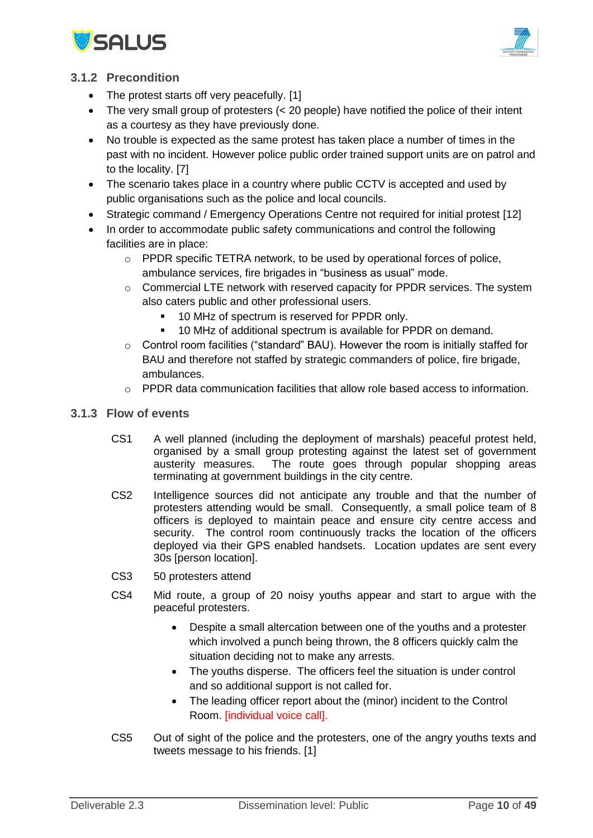



## <span id="page-9-0"></span>**3.1.2 Precondition**

- The protest starts off very peacefully. [1]
- The very small group of protesters (< 20 people) have notified the police of their intent as a courtesy as they have previously done.
- No trouble is expected as the same protest has taken place a number of times in the past with no incident. However police public order trained support units are on patrol and to the locality. [7]
- The scenario takes place in a country where public CCTV is accepted and used by public organisations such as the police and local councils.
- Strategic command / Emergency Operations Centre not required for initial protest [12]
- In order to accommodate public safety communications and control the following facilities are in place:
	- $\circ$  PPDR specific TETRA network, to be used by operational forces of police. ambulance services, fire brigades in "business as usual" mode.
	- o Commercial LTE network with reserved capacity for PPDR services. The system also caters public and other professional users.
		- **10 MHz of spectrum is reserved for PPDR only.**
		- 10 MHz of additional spectrum is available for PPDR on demand.
	- o Control room facilities ("standard" BAU). However the room is initially staffed for BAU and therefore not staffed by strategic commanders of police, fire brigade, ambulances.
	- $\circ$  PPDR data communication facilities that allow role based access to information.
- <span id="page-9-1"></span>**3.1.3 Flow of events**
	- CS1 A well planned (including the deployment of marshals) peaceful protest held, organised by a small group protesting against the latest set of government austerity measures. The route goes through popular shopping areas terminating at government buildings in the city centre.
	- CS2 Intelligence sources did not anticipate any trouble and that the number of protesters attending would be small. Consequently, a small police team of 8 officers is deployed to maintain peace and ensure city centre access and security. The control room continuously tracks the location of the officers deployed via their GPS enabled handsets. Location updates are sent every 30s [person location].
	- CS3 50 protesters attend
	- CS4 Mid route, a group of 20 noisy youths appear and start to argue with the peaceful protesters.
		- Despite a small altercation between one of the youths and a protester which involved a punch being thrown, the 8 officers quickly calm the situation deciding not to make any arrests.
		- The youths disperse. The officers feel the situation is under control and so additional support is not called for.
		- The leading officer report about the (minor) incident to the Control Room. [individual voice call].
	- CS5 Out of sight of the police and the protesters, one of the angry youths texts and tweets message to his friends. [1]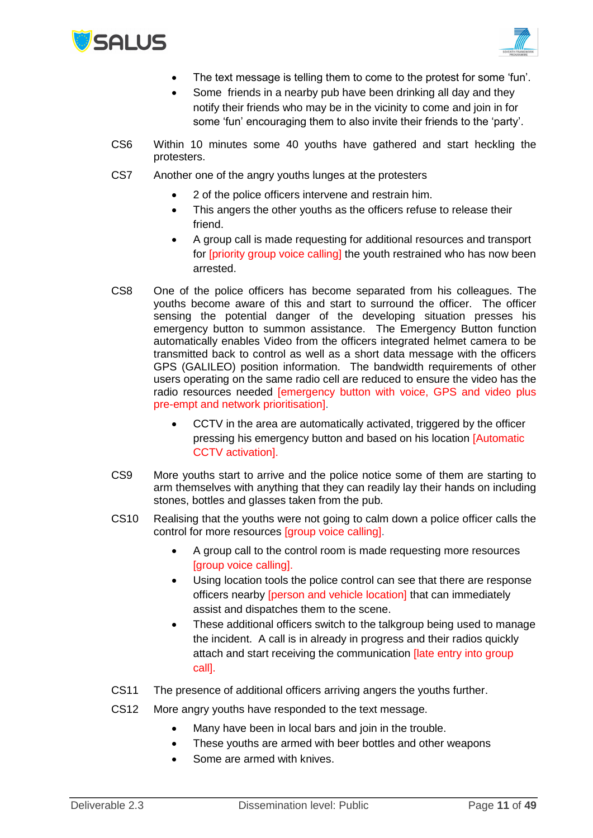



- The text message is telling them to come to the protest for some 'fun'.
- Some friends in a nearby pub have been drinking all day and they notify their friends who may be in the vicinity to come and join in for some 'fun' encouraging them to also invite their friends to the 'party'.
- CS6 Within 10 minutes some 40 youths have gathered and start heckling the protesters.
- CS7 Another one of the angry youths lunges at the protesters
	- 2 of the police officers intervene and restrain him.
	- This angers the other youths as the officers refuse to release their friend.
	- A group call is made requesting for additional resources and transport for [priority group voice calling] the youth restrained who has now been arrested.
- CS8 One of the police officers has become separated from his colleagues. The youths become aware of this and start to surround the officer. The officer sensing the potential danger of the developing situation presses his emergency button to summon assistance. The Emergency Button function automatically enables Video from the officers integrated helmet camera to be transmitted back to control as well as a short data message with the officers GPS (GALILEO) position information. The bandwidth requirements of other users operating on the same radio cell are reduced to ensure the video has the radio resources needed [emergency button with voice, GPS and video plus pre-empt and network prioritisation].
	- CCTV in the area are automatically activated, triggered by the officer pressing his emergency button and based on his location [Automatic CCTV activation].
- CS9 More youths start to arrive and the police notice some of them are starting to arm themselves with anything that they can readily lay their hands on including stones, bottles and glasses taken from the pub.
- CS10 Realising that the youths were not going to calm down a police officer calls the control for more resources [group voice calling].
	- A group call to the control room is made requesting more resources [group voice calling].
	- Using location tools the police control can see that there are response officers nearby [person and vehicle location] that can immediately assist and dispatches them to the scene.
	- These additional officers switch to the talkgroup being used to manage the incident. A call is in already in progress and their radios quickly attach and start receiving the communication **[late entry into group** call].
- CS11 The presence of additional officers arriving angers the youths further.
- CS12 More angry youths have responded to the text message.
	- Many have been in local bars and join in the trouble.
	- These youths are armed with beer bottles and other weapons
	- Some are armed with knives.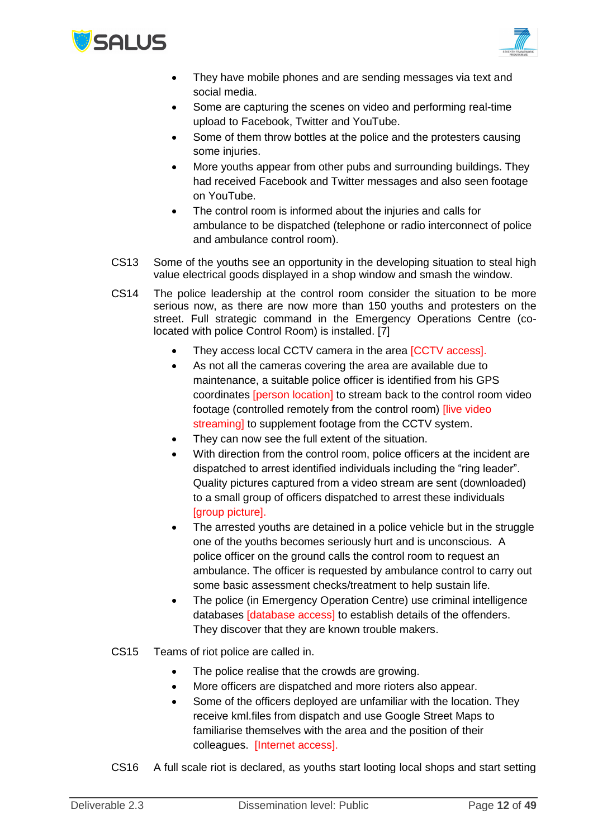



- They have mobile phones and are sending messages via text and social media.
- Some are capturing the scenes on video and performing real-time upload to Facebook, Twitter and YouTube.
- Some of them throw bottles at the police and the protesters causing some injuries.
- More youths appear from other pubs and surrounding buildings. They had received Facebook and Twitter messages and also seen footage on YouTube.
- The control room is informed about the injuries and calls for ambulance to be dispatched (telephone or radio interconnect of police and ambulance control room).
- CS13 Some of the youths see an opportunity in the developing situation to steal high value electrical goods displayed in a shop window and smash the window.
- CS14 The police leadership at the control room consider the situation to be more serious now, as there are now more than 150 youths and protesters on the street. Full strategic command in the Emergency Operations Centre (colocated with police Control Room) is installed. [7]
	- They access local CCTV camera in the area [CCTV access].
	- As not all the cameras covering the area are available due to maintenance, a suitable police officer is identified from his GPS coordinates [person location] to stream back to the control room video footage (controlled remotely from the control room) *[live video* streaming] to supplement footage from the CCTV system.
	- They can now see the full extent of the situation.
	- With direction from the control room, police officers at the incident are dispatched to arrest identified individuals including the "ring leader". Quality pictures captured from a video stream are sent (downloaded) to a small group of officers dispatched to arrest these individuals [group picture].
	- The arrested youths are detained in a police vehicle but in the struggle one of the youths becomes seriously hurt and is unconscious. A police officer on the ground calls the control room to request an ambulance. The officer is requested by ambulance control to carry out some basic assessment checks/treatment to help sustain life.
	- The police (in Emergency Operation Centre) use criminal intelligence databases [database access] to establish details of the offenders. They discover that they are known trouble makers.
- CS15 Teams of riot police are called in.
	- The police realise that the crowds are growing.
	- More officers are dispatched and more rioters also appear.
	- Some of the officers deployed are unfamiliar with the location. They receive kml.files from dispatch and use Google Street Maps to familiarise themselves with the area and the position of their colleagues. [Internet access].
- CS16 A full scale riot is declared, as youths start looting local shops and start setting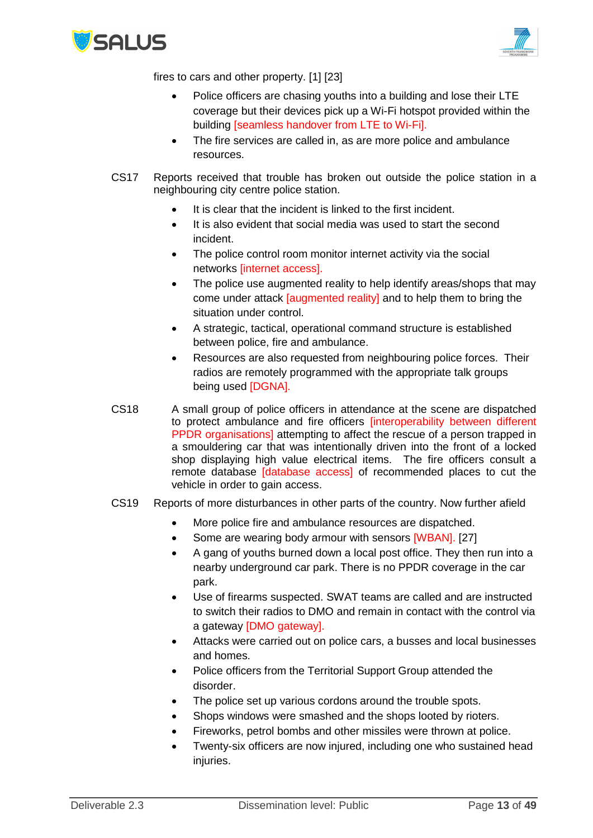



fires to cars and other property. [1] [23]

- Police officers are chasing youths into a building and lose their LTE coverage but their devices pick up a Wi-Fi hotspot provided within the building [seamless handover from LTE to Wi-Fi].
- The fire services are called in, as are more police and ambulance resources.
- CS17 Reports received that trouble has broken out outside the police station in a neighbouring city centre police station.
	- It is clear that the incident is linked to the first incident.
	- It is also evident that social media was used to start the second incident.
	- The police control room monitor internet activity via the social networks [internet access].
	- The police use augmented reality to help identify areas/shops that may come under attack *[augmented reality]* and to help them to bring the situation under control.
	- A strategic, tactical, operational command structure is established between police, fire and ambulance.
	- Resources are also requested from neighbouring police forces. Their radios are remotely programmed with the appropriate talk groups being used [DGNA].
- CS18 A small group of police officers in attendance at the scene are dispatched to protect ambulance and fire officers [interoperability between different PPDR organisations] attempting to affect the rescue of a person trapped in a smouldering car that was intentionally driven into the front of a locked shop displaying high value electrical items. The fire officers consult a remote database [database access] of recommended places to cut the vehicle in order to gain access.
- CS19 Reports of more disturbances in other parts of the country. Now further afield
	- More police fire and ambulance resources are dispatched.
	- Some are wearing body armour with sensors [WBAN]. [27]
	- A gang of youths burned down a local post office. They then run into a nearby underground car park. There is no PPDR coverage in the car park.
	- Use of firearms suspected. SWAT teams are called and are instructed to switch their radios to DMO and remain in contact with the control via a gateway [DMO gateway].
	- Attacks were carried out on police cars, a busses and local businesses and homes.
	- Police officers from the Territorial Support Group attended the disorder.
	- The police set up various cordons around the trouble spots.
	- Shops windows were smashed and the shops looted by rioters.
	- Fireworks, petrol bombs and other missiles were thrown at police.
	- Twenty-six officers are now injured, including one who sustained head injuries.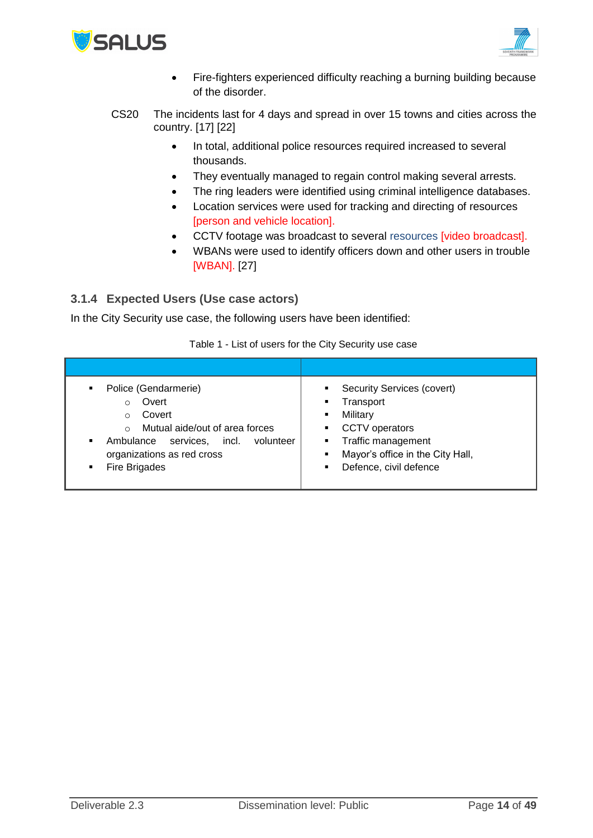



- Fire-fighters experienced difficulty reaching a burning building because of the disorder.
- CS20 The incidents last for 4 days and spread in over 15 towns and cities across the country. [17] [22]
	- In total, additional police resources required increased to several thousands.
	- They eventually managed to regain control making several arrests.
	- The ring leaders were identified using criminal intelligence databases.
	- Location services were used for tracking and directing of resources [person and vehicle location].
	- CCTV footage was broadcast to several resources [video broadcast].
	- WBANs were used to identify officers down and other users in trouble [WBAN]. [27]

## <span id="page-13-0"></span>**3.1.4 Expected Users (Use case actors)**

In the City Security use case, the following users have been identified:

| Police (Gendarmerie)<br>$\blacksquare$<br>Overt<br>$\circ$<br>Covert<br>$\Omega$<br>Mutual aide/out of area forces<br>$\Omega$<br>incl.<br>volunteer<br>Ambulance services.<br>٠<br>organizations as red cross<br>Fire Brigades<br>٠ | <b>Security Services (covert)</b><br>$\blacksquare$<br>Transport<br>Military<br><b>CCTV</b> operators<br>Traffic management<br>٠<br>Mayor's office in the City Hall,<br>Defence, civil defence |
|--------------------------------------------------------------------------------------------------------------------------------------------------------------------------------------------------------------------------------------|------------------------------------------------------------------------------------------------------------------------------------------------------------------------------------------------|

Table 1 - List of users for the City Security use case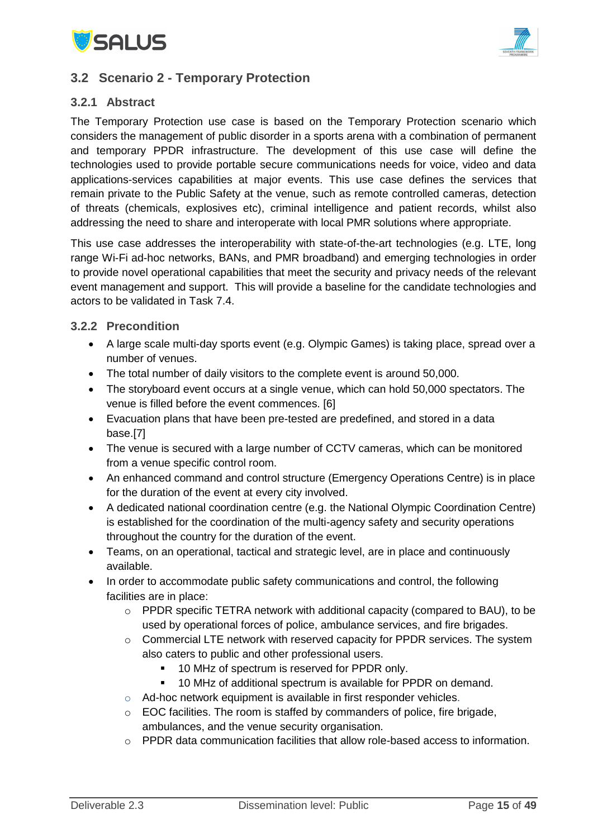



## <span id="page-14-0"></span>**3.2 Scenario 2 - Temporary Protection**

## <span id="page-14-1"></span>**3.2.1 Abstract**

The Temporary Protection use case is based on the Temporary Protection scenario which considers the management of public disorder in a sports arena with a combination of permanent and temporary PPDR infrastructure. The development of this use case will define the technologies used to provide portable secure communications needs for voice, video and data applications-services capabilities at major events. This use case defines the services that remain private to the Public Safety at the venue, such as remote controlled cameras, detection of threats (chemicals, explosives etc), criminal intelligence and patient records, whilst also addressing the need to share and interoperate with local PMR solutions where appropriate.

This use case addresses the interoperability with state-of-the-art technologies (e.g. LTE, long range Wi-Fi ad-hoc networks, BANs, and PMR broadband) and emerging technologies in order to provide novel operational capabilities that meet the security and privacy needs of the relevant event management and support. This will provide a baseline for the candidate technologies and actors to be validated in Task 7.4.

#### <span id="page-14-2"></span>**3.2.2 Precondition**

- A large scale multi-day sports event (e.g. Olympic Games) is taking place, spread over a number of venues.
- The total number of daily visitors to the complete event is around 50,000.
- The storyboard event occurs at a single venue, which can hold 50,000 spectators. The venue is filled before the event commences. [6]
- Evacuation plans that have been pre-tested are predefined, and stored in a data base.[7]
- The venue is secured with a large number of CCTV cameras, which can be monitored from a venue specific control room.
- An enhanced command and control structure (Emergency Operations Centre) is in place for the duration of the event at every city involved.
- A dedicated national coordination centre (e.g. the National Olympic Coordination Centre) is established for the coordination of the multi-agency safety and security operations throughout the country for the duration of the event.
- Teams, on an operational, tactical and strategic level, are in place and continuously available.
- In order to accommodate public safety communications and control, the following facilities are in place:
	- o PPDR specific TETRA network with additional capacity (compared to BAU), to be used by operational forces of police, ambulance services, and fire brigades.
	- $\circ$  Commercial LTE network with reserved capacity for PPDR services. The system also caters to public and other professional users.
		- 10 MHz of spectrum is reserved for PPDR only.
		- 10 MHz of additional spectrum is available for PPDR on demand.
	- o Ad-hoc network equipment is available in first responder vehicles.
	- o EOC facilities. The room is staffed by commanders of police, fire brigade, ambulances, and the venue security organisation.
	- $\circ$  PPDR data communication facilities that allow role-based access to information.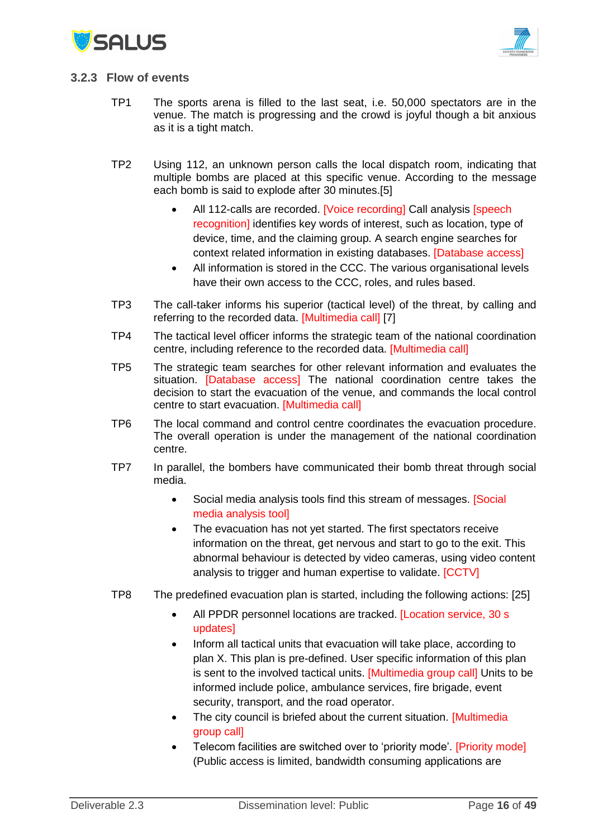



#### <span id="page-15-0"></span>**3.2.3 Flow of events**

- TP1 The sports arena is filled to the last seat, i.e. 50,000 spectators are in the venue. The match is progressing and the crowd is joyful though a bit anxious as it is a tight match.
- TP2 Using 112, an unknown person calls the local dispatch room, indicating that multiple bombs are placed at this specific venue. According to the message each bomb is said to explode after 30 minutes.[5]
	- All 112-calls are recorded. [Voice recording] Call analysis [speech recognition] identifies key words of interest, such as location, type of device, time, and the claiming group. A search engine searches for context related information in existing databases. [Database access]
	- All information is stored in the CCC. The various organisational levels have their own access to the CCC, roles, and rules based.
- TP3 The call-taker informs his superior (tactical level) of the threat, by calling and referring to the recorded data. [Multimedia call] [7]
- TP4 The tactical level officer informs the strategic team of the national coordination centre, including reference to the recorded data. [Multimedia call]
- TP5 The strategic team searches for other relevant information and evaluates the situation. [Database access] The national coordination centre takes the decision to start the evacuation of the venue, and commands the local control centre to start evacuation. [Multimedia call]
- TP6 The local command and control centre coordinates the evacuation procedure. The overall operation is under the management of the national coordination centre.
- TP7 In parallel, the bombers have communicated their bomb threat through social media.
	- Social media analysis tools find this stream of messages. [Social media analysis tool]
	- The evacuation has not yet started. The first spectators receive information on the threat, get nervous and start to go to the exit. This abnormal behaviour is detected by video cameras, using video content analysis to trigger and human expertise to validate. [CCTV]
- TP8 The predefined evacuation plan is started, including the following actions: [25]
	- All PPDR personnel locations are tracked. [Location service, 30 s updates]
	- Inform all tactical units that evacuation will take place, according to plan X. This plan is pre-defined. User specific information of this plan is sent to the involved tactical units. [Multimedia group call] Units to be informed include police, ambulance services, fire brigade, event security, transport, and the road operator.
	- The city council is briefed about the current situation. [Multimedia group call]
	- Telecom facilities are switched over to 'priority mode'. [Priority mode] (Public access is limited, bandwidth consuming applications are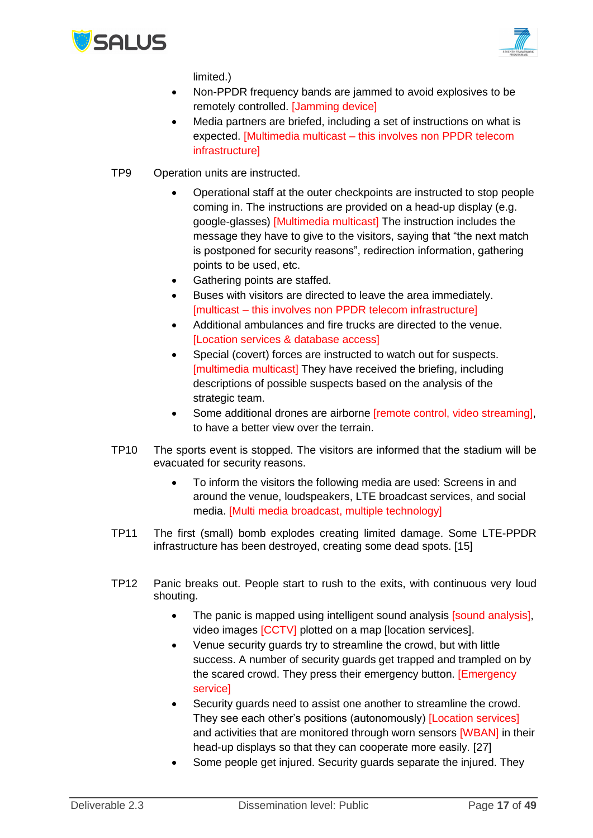



limited.)

- Non-PPDR frequency bands are jammed to avoid explosives to be remotely controlled. [Jamming device]
- Media partners are briefed, including a set of instructions on what is expected. [Multimedia multicast – this involves non PPDR telecom **infrastructurel**
- TP9 Operation units are instructed.
	- Operational staff at the outer checkpoints are instructed to stop people coming in. The instructions are provided on a head-up display (e.g. google-glasses) [Multimedia multicast] The instruction includes the message they have to give to the visitors, saying that "the next match is postponed for security reasons", redirection information, gathering points to be used, etc.
	- Gathering points are staffed.
	- Buses with visitors are directed to leave the area immediately. [multicast – this involves non PPDR telecom infrastructure]
	- Additional ambulances and fire trucks are directed to the venue. [Location services & database access]
	- Special (covert) forces are instructed to watch out for suspects. [multimedia multicast] They have received the briefing, including descriptions of possible suspects based on the analysis of the strategic team.
	- Some additional drones are airborne **[remote control, video streaming]**, to have a better view over the terrain.
- TP10 The sports event is stopped. The visitors are informed that the stadium will be evacuated for security reasons.
	- To inform the visitors the following media are used: Screens in and around the venue, loudspeakers, LTE broadcast services, and social media. [Multi media broadcast, multiple technology]
- TP11 The first (small) bomb explodes creating limited damage. Some LTE-PPDR infrastructure has been destroyed, creating some dead spots. [15]
- TP12 Panic breaks out. People start to rush to the exits, with continuous very loud shouting.
	- The panic is mapped using intelligent sound analysis [sound analysis], video images [CCTV] plotted on a map [location services].
	- Venue security guards try to streamline the crowd, but with little success. A number of security guards get trapped and trampled on by the scared crowd. They press their emergency button. [Emergency service]
	- Security guards need to assist one another to streamline the crowd. They see each other's positions (autonomously) [Location services] and activities that are monitored through worn sensors **[WBAN]** in their head-up displays so that they can cooperate more easily. [27]
	- Some people get injured. Security guards separate the injured. They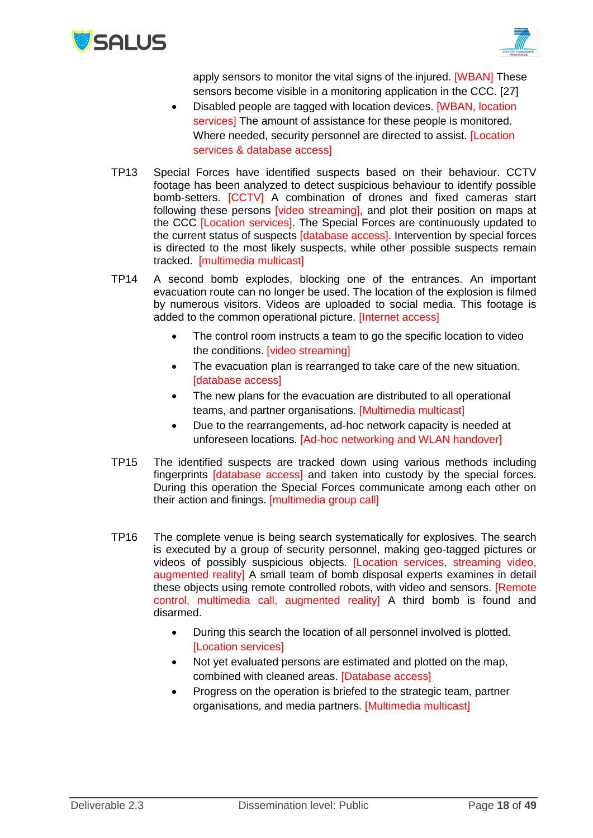



apply sensors to monitor the vital signs of the injured. [WBAN] These sensors become visible in a monitoring application in the CCC. [27]

- Disabled people are tagged with location devices. [WBAN, location services] The amount of assistance for these people is monitored. Where needed, security personnel are directed to assist. [Location services & database access]
- TP13 Special Forces have identified suspects based on their behaviour. CCTV footage has been analyzed to detect suspicious behaviour to identify possible bomb-setters. [CCTV] A combination of drones and fixed cameras start following these persons [video streaming], and plot their position on maps at the CCC [Location services]. The Special Forces are continuously updated to the current status of suspects [database access]. Intervention by special forces is directed to the most likely suspects, while other possible suspects remain tracked. [multimedia multicast]
- TP14 A second bomb explodes, blocking one of the entrances. An important evacuation route can no longer be used. The location of the explosion is filmed by numerous visitors. Videos are uploaded to social media. This footage is added to the common operational picture. [Internet access]
	- The control room instructs a team to go the specific location to video the conditions. [video streaming]
	- The evacuation plan is rearranged to take care of the new situation. [database access]
	- The new plans for the evacuation are distributed to all operational teams, and partner organisations. [Multimedia multicast]
	- Due to the rearrangements, ad-hoc network capacity is needed at unforeseen locations. [Ad-hoc networking and WLAN handover]
- TP15 The identified suspects are tracked down using various methods including fingerprints *Idatabase access1* and taken into custody by the special forces. During this operation the Special Forces communicate among each other on their action and finings. [multimedia group call]
- TP16 The complete venue is being search systematically for explosives. The search is executed by a group of security personnel, making geo-tagged pictures or videos of possibly suspicious objects. [Location services, streaming video, augmented reality] A small team of bomb disposal experts examines in detail these objects using remote controlled robots, with video and sensors. [Remote control, multimedia call, augmented reality] A third bomb is found and disarmed.
	- During this search the location of all personnel involved is plotted. [Location services]
	- Not yet evaluated persons are estimated and plotted on the map, combined with cleaned areas. [Database access]
	- Progress on the operation is briefed to the strategic team, partner organisations, and media partners. [Multimedia multicast]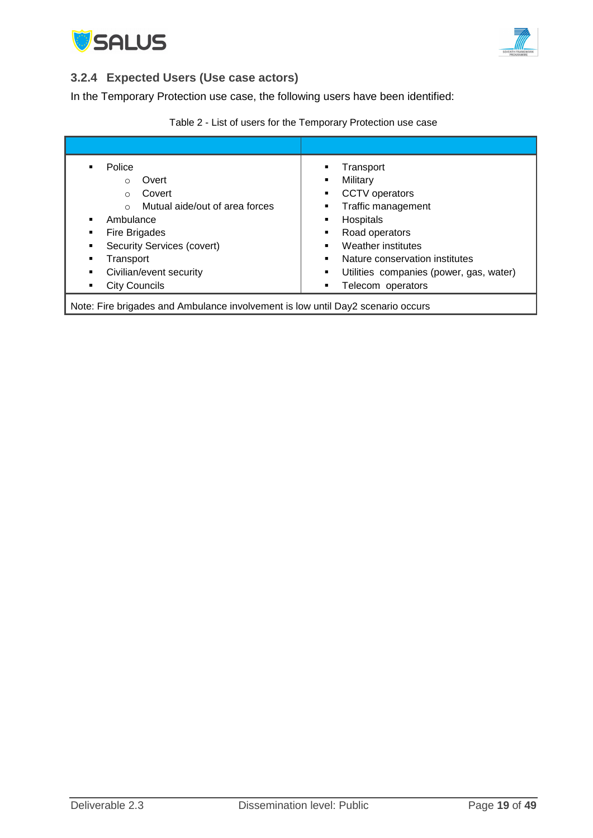



## <span id="page-18-0"></span>**3.2.4 Expected Users (Use case actors)**

In the Temporary Protection use case, the following users have been identified:

<span id="page-18-1"></span>

| Transport<br>Military<br>٠<br><b>CCTV</b> operators<br>Traffic management<br>Hospitals<br>٠<br>Road operators<br>Weather institutes<br>Nature conservation institutes<br>Utilities companies (power, gas, water)<br>٠<br>Telecom operators |  |  |  |  |  |
|--------------------------------------------------------------------------------------------------------------------------------------------------------------------------------------------------------------------------------------------|--|--|--|--|--|
| Note: Fire brigades and Ambulance involvement is low until Day2 scenario occurs                                                                                                                                                            |  |  |  |  |  |
|                                                                                                                                                                                                                                            |  |  |  |  |  |

## Table 2 - List of users for the Temporary Protection use case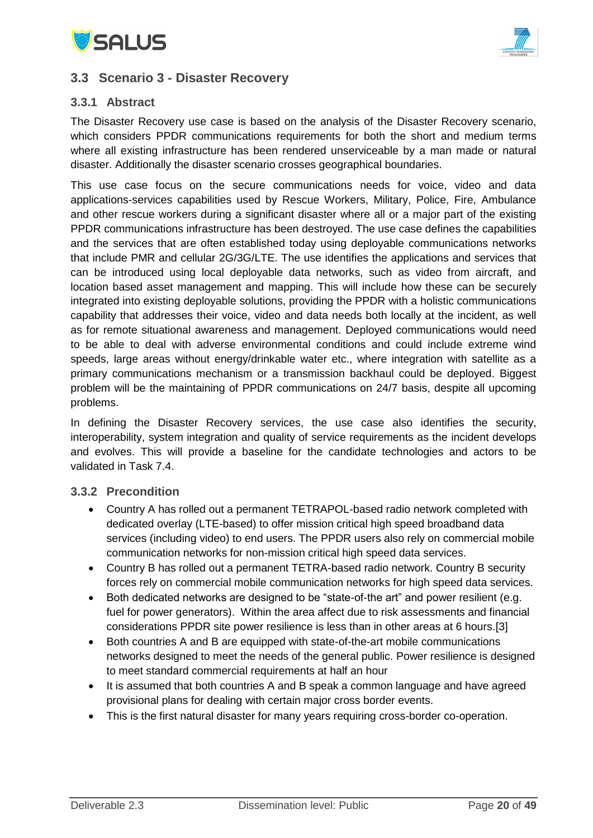



## **3.3 Scenario 3 - Disaster Recovery**

## <span id="page-19-0"></span>**3.3.1 Abstract**

The Disaster Recovery use case is based on the analysis of the Disaster Recovery scenario, which considers PPDR communications requirements for both the short and medium terms where all existing infrastructure has been rendered unserviceable by a man made or natural disaster. Additionally the disaster scenario crosses geographical boundaries.

This use case focus on the secure communications needs for voice, video and data applications-services capabilities used by Rescue Workers, Military, Police, Fire, Ambulance and other rescue workers during a significant disaster where all or a major part of the existing PPDR communications infrastructure has been destroyed. The use case defines the capabilities and the services that are often established today using deployable communications networks that include PMR and cellular 2G/3G/LTE. The use identifies the applications and services that can be introduced using local deployable data networks, such as video from aircraft, and location based asset management and mapping. This will include how these can be securely integrated into existing deployable solutions, providing the PPDR with a holistic communications capability that addresses their voice, video and data needs both locally at the incident, as well as for remote situational awareness and management. Deployed communications would need to be able to deal with adverse environmental conditions and could include extreme wind speeds, large areas without energy/drinkable water etc., where integration with satellite as a primary communications mechanism or a transmission backhaul could be deployed. Biggest problem will be the maintaining of PPDR communications on 24/7 basis, despite all upcoming problems.

In defining the Disaster Recovery services, the use case also identifies the security, interoperability, system integration and quality of service requirements as the incident develops and evolves. This will provide a baseline for the candidate technologies and actors to be validated in Task 7.4.

#### <span id="page-19-1"></span>**3.3.2 Precondition**

- Country A has rolled out a permanent TETRAPOL-based radio network completed with dedicated overlay (LTE-based) to offer mission critical high speed broadband data services (including video) to end users. The PPDR users also rely on commercial mobile communication networks for non-mission critical high speed data services.
- Country B has rolled out a permanent TETRA-based radio network. Country B security forces rely on commercial mobile communication networks for high speed data services.
- Both dedicated networks are designed to be "state-of-the art" and power resilient (e.g. fuel for power generators). Within the area affect due to risk assessments and financial considerations PPDR site power resilience is less than in other areas at 6 hours.[3]
- Both countries A and B are equipped with state-of-the-art mobile communications networks designed to meet the needs of the general public. Power resilience is designed to meet standard commercial requirements at half an hour
- It is assumed that both countries A and B speak a common language and have agreed provisional plans for dealing with certain major cross border events.
- This is the first natural disaster for many years requiring cross-border co-operation.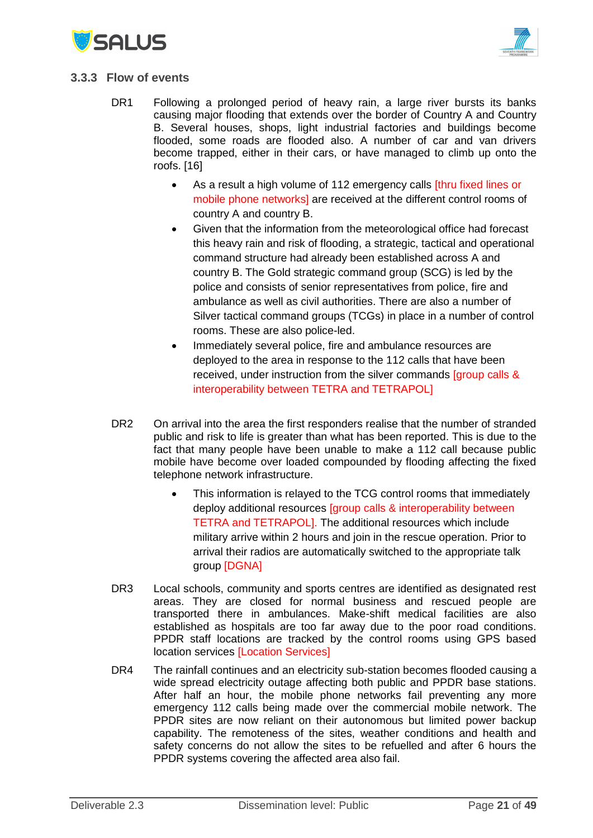



#### <span id="page-20-0"></span>**3.3.3 Flow of events**

- DR1 Following a prolonged period of heavy rain, a large river bursts its banks causing major flooding that extends over the border of Country A and Country B. Several houses, shops, light industrial factories and buildings become flooded, some roads are flooded also. A number of car and van drivers become trapped, either in their cars, or have managed to climb up onto the roofs. [16]
	- As a result a high volume of 112 emergency calls [thru fixed lines or mobile phone networks] are received at the different control rooms of country A and country B.
	- Given that the information from the meteorological office had forecast this heavy rain and risk of flooding, a strategic, tactical and operational command structure had already been established across A and country B. The Gold strategic command group (SCG) is led by the police and consists of senior representatives from police, fire and ambulance as well as civil authorities. There are also a number of Silver tactical command groups (TCGs) in place in a number of control rooms. These are also police-led.
	- Immediately several police, fire and ambulance resources are deployed to the area in response to the 112 calls that have been received, under instruction from the silver commands [group calls & interoperability between TETRA and TETRAPOL]
- DR2 On arrival into the area the first responders realise that the number of stranded public and risk to life is greater than what has been reported. This is due to the fact that many people have been unable to make a 112 call because public mobile have become over loaded compounded by flooding affecting the fixed telephone network infrastructure.
	- This information is relayed to the TCG control rooms that immediately deploy additional resources [group calls & interoperability between TETRA and TETRAPOL]. The additional resources which include military arrive within 2 hours and join in the rescue operation. Prior to arrival their radios are automatically switched to the appropriate talk group [DGNA]
- DR3 Local schools, community and sports centres are identified as designated rest areas. They are closed for normal business and rescued people are transported there in ambulances. Make-shift medical facilities are also established as hospitals are too far away due to the poor road conditions. PPDR staff locations are tracked by the control rooms using GPS based location services [Location Services]
- DR4 The rainfall continues and an electricity sub-station becomes flooded causing a wide spread electricity outage affecting both public and PPDR base stations. After half an hour, the mobile phone networks fail preventing any more emergency 112 calls being made over the commercial mobile network. The PPDR sites are now reliant on their autonomous but limited power backup capability. The remoteness of the sites, weather conditions and health and safety concerns do not allow the sites to be refuelled and after 6 hours the PPDR systems covering the affected area also fail.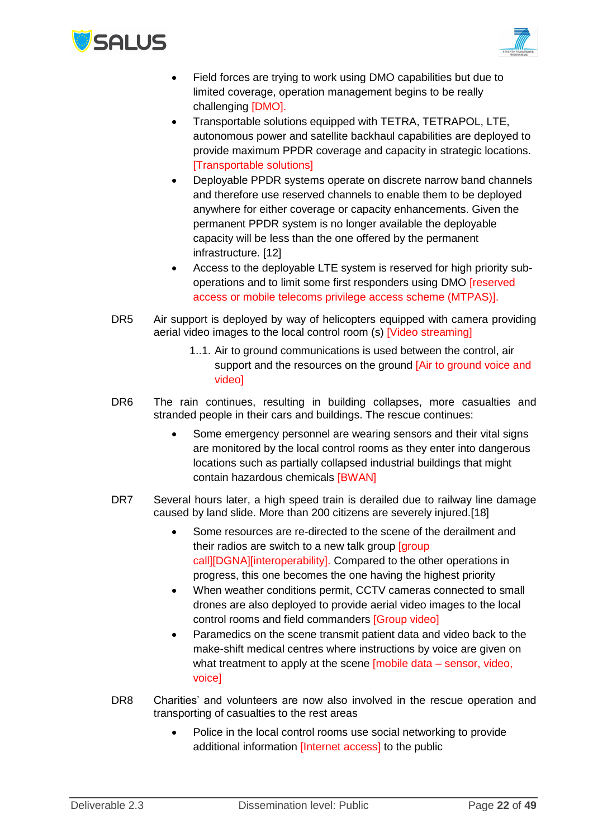



- Field forces are trying to work using DMO capabilities but due to limited coverage, operation management begins to be really challenging [DMO].
- Transportable solutions equipped with TETRA, TETRAPOL, LTE, autonomous power and satellite backhaul capabilities are deployed to provide maximum PPDR coverage and capacity in strategic locations. [Transportable solutions]
- Deployable PPDR systems operate on discrete narrow band channels and therefore use reserved channels to enable them to be deployed anywhere for either coverage or capacity enhancements. Given the permanent PPDR system is no longer available the deployable capacity will be less than the one offered by the permanent infrastructure. [12]
- Access to the deployable LTE system is reserved for high priority suboperations and to limit some first responders using DMO [reserved access or mobile telecoms privilege access scheme (MTPAS)].
- DR5 Air support is deployed by way of helicopters equipped with camera providing aerial video images to the local control room (s) [Video streaming]
	- 1..1. Air to ground communications is used between the control, air support and the resources on the ground [Air to ground voice and video]
- DR6 The rain continues, resulting in building collapses, more casualties and stranded people in their cars and buildings. The rescue continues:
	- Some emergency personnel are wearing sensors and their vital signs are monitored by the local control rooms as they enter into dangerous locations such as partially collapsed industrial buildings that might contain hazardous chemicals [BWAN]
- DR7 Several hours later, a high speed train is derailed due to railway line damage caused by land slide. More than 200 citizens are severely injured.[18]
	- Some resources are re-directed to the scene of the derailment and their radios are switch to a new talk group [group call][DGNA][interoperability]. Compared to the other operations in progress, this one becomes the one having the highest priority
	- When weather conditions permit, CCTV cameras connected to small drones are also deployed to provide aerial video images to the local control rooms and field commanders [Group video]
	- Paramedics on the scene transmit patient data and video back to the make-shift medical centres where instructions by voice are given on what treatment to apply at the scene [mobile data – sensor, video, voice]
- DR8 Charities' and volunteers are now also involved in the rescue operation and transporting of casualties to the rest areas
	- Police in the local control rooms use social networking to provide additional information *[Internet access]* to the public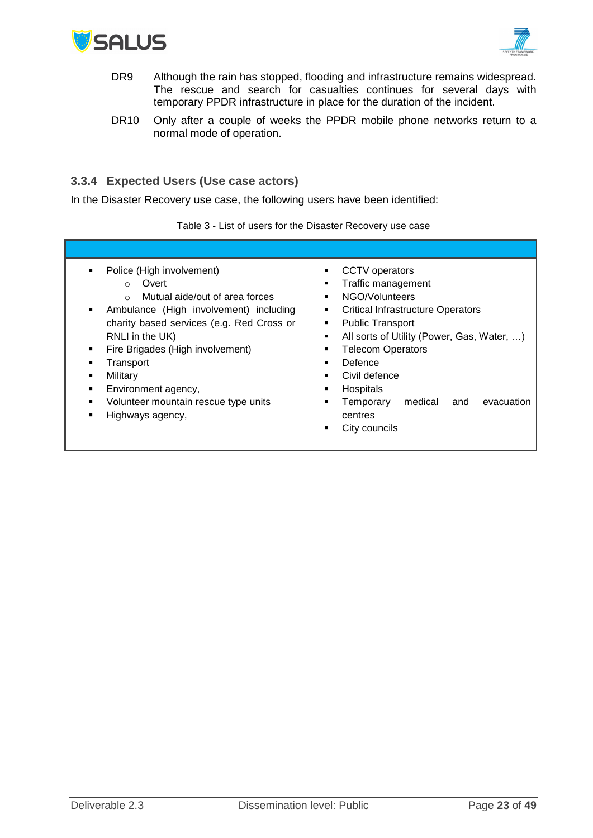



- DR9 Although the rain has stopped, flooding and infrastructure remains widespread. The rescue and search for casualties continues for several days with temporary PPDR infrastructure in place for the duration of the incident.
- DR10 Only after a couple of weeks the PPDR mobile phone networks return to a normal mode of operation.

## <span id="page-22-0"></span>**3.3.4 Expected Users (Use case actors)**

In the Disaster Recovery use case, the following users have been identified:

Table 3 - List of users for the Disaster Recovery use case

| Police (High involvement)<br>٠<br>Overt<br>$\circ$<br>Mutual aide/out of area forces<br>$\Omega$<br>Ambulance (High involvement) including<br>٠<br>charity based services (e.g. Red Cross or<br>RNLI in the UK)<br>Fire Brigades (High involvement)<br>٠<br>Transport<br>Military<br>Environment agency,<br>Volunteer mountain rescue type units<br>٠<br>Highways agency,<br>٠ | <b>CCTV</b> operators<br>■<br>Traffic management<br>٠<br>NGO/Volunteers<br>٠<br><b>Critical Infrastructure Operators</b><br>٠<br><b>Public Transport</b><br>٠<br>All sorts of Utility (Power, Gas, Water, )<br>٠<br><b>Telecom Operators</b><br>٠<br>Defence<br>٠<br>Civil defence<br>٠<br>Hospitals<br>٠<br>medical<br>Temporary<br>evacuation<br>and<br>٠<br>centres<br>City councils |
|--------------------------------------------------------------------------------------------------------------------------------------------------------------------------------------------------------------------------------------------------------------------------------------------------------------------------------------------------------------------------------|-----------------------------------------------------------------------------------------------------------------------------------------------------------------------------------------------------------------------------------------------------------------------------------------------------------------------------------------------------------------------------------------|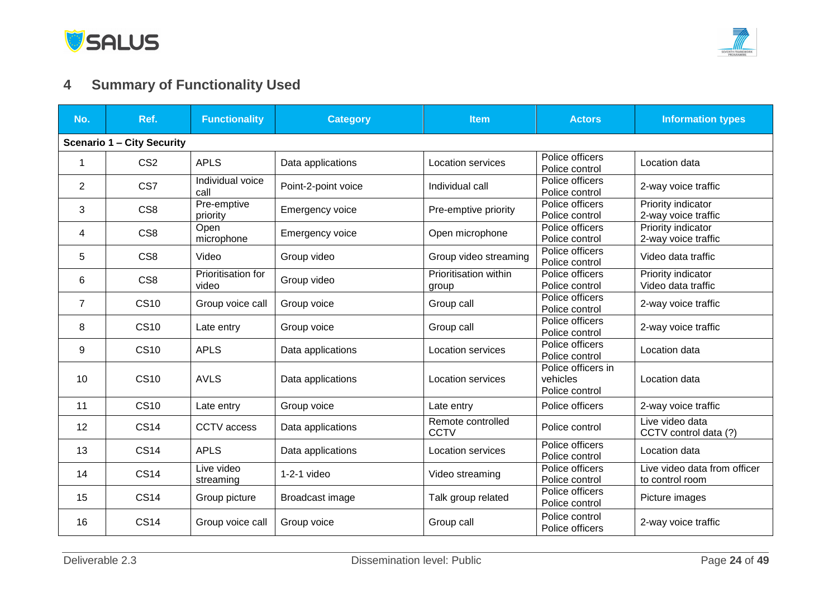

# **4 Summary of Functionality Used**

<span id="page-23-0"></span>

| No.            | Ref.                              | <b>Functionality</b>        | <b>Category</b>     | <b>Item</b>                      | <b>Actors</b>                                    | <b>Information types</b>                        |  |  |
|----------------|-----------------------------------|-----------------------------|---------------------|----------------------------------|--------------------------------------------------|-------------------------------------------------|--|--|
|                | <b>Scenario 1 - City Security</b> |                             |                     |                                  |                                                  |                                                 |  |  |
| $\mathbf 1$    | CS <sub>2</sub>                   | <b>APLS</b>                 | Data applications   | Location services                | Police officers<br>Police control                | Location data                                   |  |  |
| $\overline{2}$ | CS7                               | Individual voice<br>call    | Point-2-point voice | Individual call                  | Police officers<br>Police control                | 2-way voice traffic                             |  |  |
| 3              | CS <sub>8</sub>                   | Pre-emptive<br>priority     | Emergency voice     | Pre-emptive priority             | Police officers<br>Police control                | Priority indicator<br>2-way voice traffic       |  |  |
| 4              | CS <sub>8</sub>                   | Open<br>microphone          | Emergency voice     | Open microphone                  | Police officers<br>Police control                | Priority indicator<br>2-way voice traffic       |  |  |
| 5              | CS <sub>8</sub>                   | Video                       | Group video         | Group video streaming            | Police officers<br>Police control                | Video data traffic                              |  |  |
| 6              | CS <sub>8</sub>                   | Prioritisation for<br>video | Group video         | Prioritisation within<br>group   | Police officers<br>Police control                | Priority indicator<br>Video data traffic        |  |  |
| $\overline{7}$ | <b>CS10</b>                       | Group voice call            | Group voice         | Group call                       | Police officers<br>Police control                | 2-way voice traffic                             |  |  |
| 8              | <b>CS10</b>                       | Late entry                  | Group voice         | Group call                       | Police officers<br>Police control                | 2-way voice traffic                             |  |  |
| 9              | <b>CS10</b>                       | <b>APLS</b>                 | Data applications   | Location services                | Police officers<br>Police control                | Location data                                   |  |  |
| 10             | <b>CS10</b>                       | <b>AVLS</b>                 | Data applications   | Location services                | Police officers in<br>vehicles<br>Police control | Location data                                   |  |  |
| 11             | <b>CS10</b>                       | Late entry                  | Group voice         | Late entry                       | Police officers                                  | 2-way voice traffic                             |  |  |
| 12             | <b>CS14</b>                       | CCTV access                 | Data applications   | Remote controlled<br><b>CCTV</b> | Police control                                   | Live video data<br>CCTV control data (?)        |  |  |
| 13             | <b>CS14</b>                       | <b>APLS</b>                 | Data applications   | Location services                | Police officers<br>Police control                | Location data                                   |  |  |
| 14             | <b>CS14</b>                       | Live video<br>streaming     | $1-2-1$ video       | Video streaming                  | Police officers<br>Police control                | Live video data from officer<br>to control room |  |  |
| 15             | <b>CS14</b>                       | Group picture               | Broadcast image     | Talk group related               | Police officers<br>Police control                | Picture images                                  |  |  |
| 16             | <b>CS14</b>                       | Group voice call            | Group voice         | Group call                       | Police control<br>Police officers                | 2-way voice traffic                             |  |  |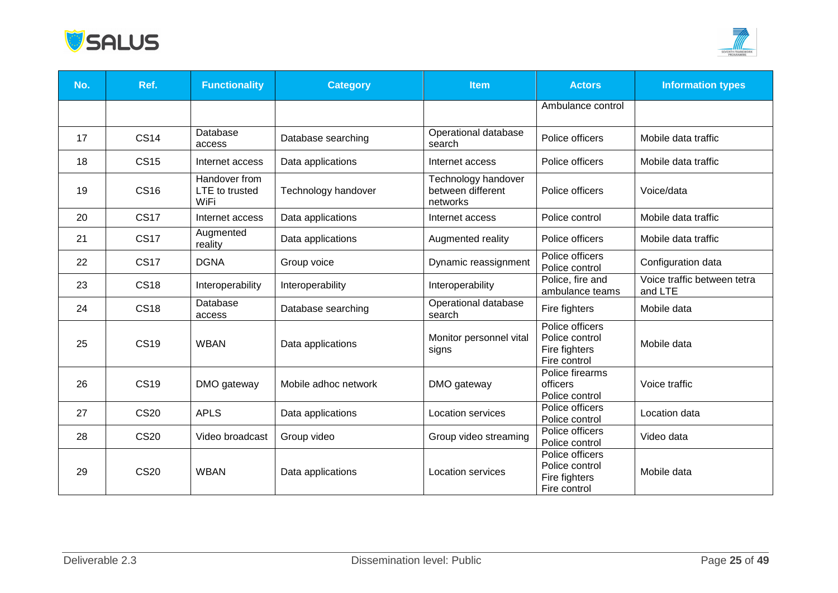



| No. | Ref.        | <b>Functionality</b>                    | <b>Category</b>      | <b>Item</b>                                          | <b>Actors</b>                                                      | <b>Information types</b>               |
|-----|-------------|-----------------------------------------|----------------------|------------------------------------------------------|--------------------------------------------------------------------|----------------------------------------|
|     |             |                                         |                      |                                                      | Ambulance control                                                  |                                        |
| 17  | <b>CS14</b> | Database<br>access                      | Database searching   | Operational database<br>search                       | Police officers                                                    | Mobile data traffic                    |
| 18  | <b>CS15</b> | Internet access                         | Data applications    | Internet access                                      | Police officers                                                    | Mobile data traffic                    |
| 19  | <b>CS16</b> | Handover from<br>LTE to trusted<br>WiFi | Technology handover  | Technology handover<br>between different<br>networks | Police officers                                                    | Voice/data                             |
| 20  | <b>CS17</b> | Internet access                         | Data applications    | Internet access                                      | Police control                                                     | Mobile data traffic                    |
| 21  | <b>CS17</b> | Augmented<br>reality                    | Data applications    | Augmented reality                                    | Police officers                                                    | Mobile data traffic                    |
| 22  | <b>CS17</b> | <b>DGNA</b>                             | Group voice          | Dynamic reassignment                                 | Police officers<br>Police control                                  | Configuration data                     |
| 23  | <b>CS18</b> | Interoperability                        | Interoperability     | Interoperability                                     | Police, fire and<br>ambulance teams                                | Voice traffic between tetra<br>and LTE |
| 24  | <b>CS18</b> | Database<br>access                      | Database searching   | Operational database<br>search                       | Fire fighters                                                      | Mobile data                            |
| 25  | <b>CS19</b> | <b>WBAN</b>                             | Data applications    | Monitor personnel vital<br>signs                     | Police officers<br>Police control<br>Fire fighters<br>Fire control | Mobile data                            |
| 26  | <b>CS19</b> | DMO gateway                             | Mobile adhoc network | DMO gateway                                          | Police firearms<br>officers<br>Police control                      | Voice traffic                          |
| 27  | <b>CS20</b> | <b>APLS</b>                             | Data applications    | Location services                                    | Police officers<br>Police control                                  | Location data                          |
| 28  | <b>CS20</b> | Video broadcast                         | Group video          | Group video streaming                                | Police officers<br>Police control                                  | Video data                             |
| 29  | <b>CS20</b> | <b>WBAN</b>                             | Data applications    | Location services                                    | Police officers<br>Police control<br>Fire fighters<br>Fire control | Mobile data                            |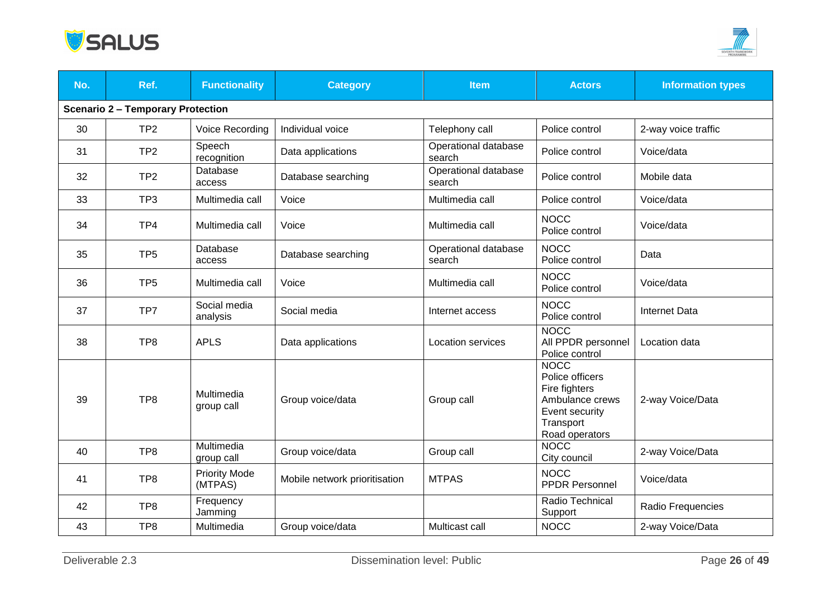



| No. | Ref.                                     | <b>Functionality</b>            | <b>Category</b>               | <b>Item</b>                    | <b>Actors</b>                                                                                                       | <b>Information types</b> |  |  |
|-----|------------------------------------------|---------------------------------|-------------------------------|--------------------------------|---------------------------------------------------------------------------------------------------------------------|--------------------------|--|--|
|     | <b>Scenario 2 - Temporary Protection</b> |                                 |                               |                                |                                                                                                                     |                          |  |  |
| 30  | TP <sub>2</sub>                          | Voice Recording                 | Individual voice              | Telephony call                 | Police control                                                                                                      | 2-way voice traffic      |  |  |
| 31  | TP <sub>2</sub>                          | Speech<br>recognition           | Data applications             | Operational database<br>search | Police control                                                                                                      | Voice/data               |  |  |
| 32  | TP <sub>2</sub>                          | Database<br>access              | Database searching            | Operational database<br>search | Police control                                                                                                      | Mobile data              |  |  |
| 33  | TP <sub>3</sub>                          | Multimedia call                 | Voice                         | Multimedia call                | Police control                                                                                                      | Voice/data               |  |  |
| 34  | TP4                                      | Multimedia call                 | Voice                         | Multimedia call                | <b>NOCC</b><br>Police control                                                                                       | Voice/data               |  |  |
| 35  | TP <sub>5</sub>                          | Database<br>access              | Database searching            | Operational database<br>search | <b>NOCC</b><br>Police control                                                                                       | Data                     |  |  |
| 36  | TP <sub>5</sub>                          | Multimedia call                 | Voice                         | Multimedia call                | <b>NOCC</b><br>Police control                                                                                       | Voice/data               |  |  |
| 37  | TP7                                      | Social media<br>analysis        | Social media                  | Internet access                | <b>NOCC</b><br>Police control                                                                                       | <b>Internet Data</b>     |  |  |
| 38  | TP8                                      | <b>APLS</b>                     | Data applications             | Location services              | <b>NOCC</b><br>All PPDR personnel<br>Police control                                                                 | Location data            |  |  |
| 39  | TP <sub>8</sub>                          | Multimedia<br>group call        | Group voice/data              | Group call                     | <b>NOCC</b><br>Police officers<br>Fire fighters<br>Ambulance crews<br>Event security<br>Transport<br>Road operators | 2-way Voice/Data         |  |  |
| 40  | TP8                                      | Multimedia<br>group call        | Group voice/data              | Group call                     | <b>NOCC</b><br>City council                                                                                         | 2-way Voice/Data         |  |  |
| 41  | TP <sub>8</sub>                          | <b>Priority Mode</b><br>(MTPAS) | Mobile network prioritisation | <b>MTPAS</b>                   | <b>NOCC</b><br><b>PPDR Personnel</b>                                                                                | Voice/data               |  |  |
| 42  | TP <sub>8</sub>                          | Frequency<br>Jamming            |                               |                                | Radio Technical<br>Support                                                                                          | Radio Frequencies        |  |  |
| 43  | TP <sub>8</sub>                          | Multimedia                      | Group voice/data              | Multicast call                 | <b>NOCC</b>                                                                                                         | 2-way Voice/Data         |  |  |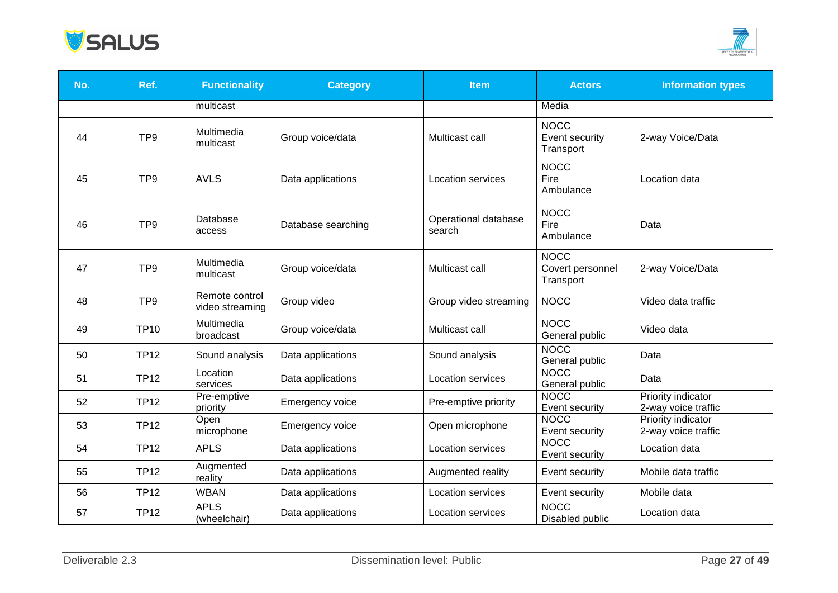



| No. | Ref.            | <b>Functionality</b>              | <b>Category</b>    | <b>Item</b>                    | <b>Actors</b>                                | <b>Information types</b>                         |
|-----|-----------------|-----------------------------------|--------------------|--------------------------------|----------------------------------------------|--------------------------------------------------|
|     |                 | multicast                         |                    |                                | Media                                        |                                                  |
| 44  | TP <sub>9</sub> | Multimedia<br>multicast           | Group voice/data   | Multicast call                 | <b>NOCC</b><br>Event security<br>Transport   | 2-way Voice/Data                                 |
| 45  | TP <sub>9</sub> | <b>AVLS</b>                       | Data applications  | <b>Location services</b>       | <b>NOCC</b><br>Fire<br>Ambulance             | Location data                                    |
| 46  | TP <sub>9</sub> | Database<br>access                | Database searching | Operational database<br>search | <b>NOCC</b><br>Fire<br>Ambulance             | Data                                             |
| 47  | TP <sub>9</sub> | Multimedia<br>multicast           | Group voice/data   | Multicast call                 | <b>NOCC</b><br>Covert personnel<br>Transport | 2-way Voice/Data                                 |
| 48  | TP <sub>9</sub> | Remote control<br>video streaming | Group video        | Group video streaming          | <b>NOCC</b>                                  | Video data traffic                               |
| 49  | <b>TP10</b>     | Multimedia<br>broadcast           | Group voice/data   | Multicast call                 | <b>NOCC</b><br>General public                | Video data                                       |
| 50  | <b>TP12</b>     | Sound analysis                    | Data applications  | Sound analysis                 | <b>NOCC</b><br>General public                | Data                                             |
| 51  | <b>TP12</b>     | Location<br>services              | Data applications  | Location services              | <b>NOCC</b><br>General public                | Data                                             |
| 52  | <b>TP12</b>     | Pre-emptive<br>priority           | Emergency voice    | Pre-emptive priority           | <b>NOCC</b><br>Event security                | Priority indicator<br>2-way voice traffic        |
| 53  | <b>TP12</b>     | Open<br>microphone                | Emergency voice    | Open microphone                | <b>NOCC</b><br>Event security                | <b>Priority indicator</b><br>2-way voice traffic |
| 54  | <b>TP12</b>     | <b>APLS</b>                       | Data applications  | Location services              | <b>NOCC</b><br>Event security                | Location data                                    |
| 55  | <b>TP12</b>     | Augmented<br>reality              | Data applications  | Augmented reality              | Event security                               | Mobile data traffic                              |
| 56  | <b>TP12</b>     | <b>WBAN</b>                       | Data applications  | Location services              | Event security                               | Mobile data                                      |
| 57  | <b>TP12</b>     | <b>APLS</b><br>(wheelchair)       | Data applications  | Location services              | <b>NOCC</b><br>Disabled public               | Location data                                    |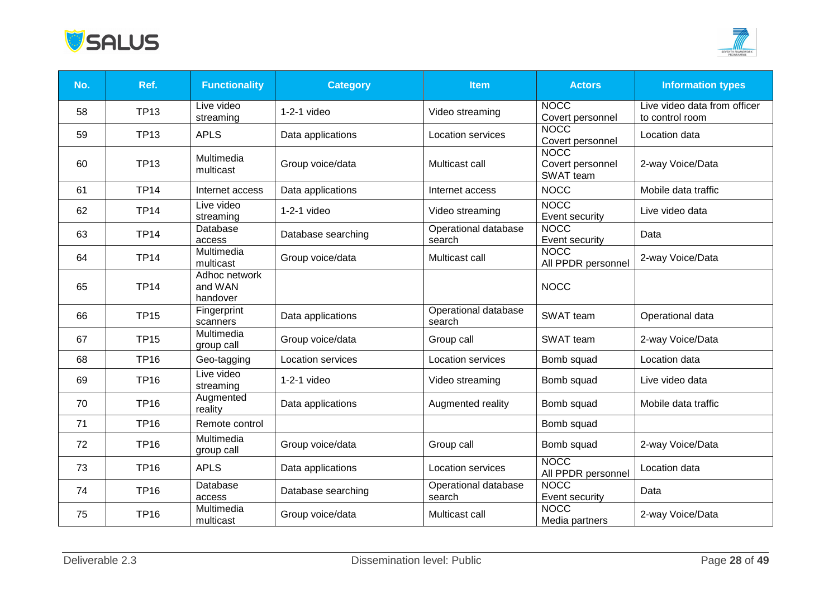



| No. | Ref.        | <b>Functionality</b>                 | <b>Category</b>          | <b>Item</b>                    | <b>Actors</b>                                | <b>Information types</b>                        |
|-----|-------------|--------------------------------------|--------------------------|--------------------------------|----------------------------------------------|-------------------------------------------------|
| 58  | <b>TP13</b> | Live video<br>streaming              | $1-2-1$ video            | Video streaming                | <b>NOCC</b><br>Covert personnel              | Live video data from officer<br>to control room |
| 59  | <b>TP13</b> | <b>APLS</b>                          | Data applications        | Location services              | <b>NOCC</b><br>Covert personnel              | Location data                                   |
| 60  | <b>TP13</b> | Multimedia<br>multicast              | Group voice/data         | Multicast call                 | <b>NOCC</b><br>Covert personnel<br>SWAT team | 2-way Voice/Data                                |
| 61  | <b>TP14</b> | Internet access                      | Data applications        | Internet access                | <b>NOCC</b>                                  | Mobile data traffic                             |
| 62  | <b>TP14</b> | Live video<br>streaming              | $1-2-1$ video            | Video streaming                | <b>NOCC</b><br>Event security                | Live video data                                 |
| 63  | <b>TP14</b> | Database<br>access                   | Database searching       | Operational database<br>search | <b>NOCC</b><br>Event security                | Data                                            |
| 64  | <b>TP14</b> | Multimedia<br>multicast              | Group voice/data         | Multicast call                 | <b>NOCC</b><br>All PPDR personnel            | 2-way Voice/Data                                |
| 65  | <b>TP14</b> | Adhoc network<br>and WAN<br>handover |                          |                                | <b>NOCC</b>                                  |                                                 |
| 66  | <b>TP15</b> | Fingerprint<br>scanners              | Data applications        | Operational database<br>search | SWAT team                                    | Operational data                                |
| 67  | <b>TP15</b> | Multimedia<br>group call             | Group voice/data         | Group call                     | SWAT team                                    | 2-way Voice/Data                                |
| 68  | <b>TP16</b> | Geo-tagging                          | <b>Location services</b> | Location services              | Bomb squad                                   | Location data                                   |
| 69  | <b>TP16</b> | Live video<br>streaming              | $1-2-1$ video            | Video streaming                | Bomb squad                                   | Live video data                                 |
| 70  | <b>TP16</b> | Augmented<br>reality                 | Data applications        | Augmented reality              | Bomb squad                                   | Mobile data traffic                             |
| 71  | <b>TP16</b> | Remote control                       |                          |                                | Bomb squad                                   |                                                 |
| 72  | <b>TP16</b> | Multimedia<br>group call             | Group voice/data         | Group call                     | Bomb squad                                   | 2-way Voice/Data                                |
| 73  | <b>TP16</b> | <b>APLS</b>                          | Data applications        | <b>Location services</b>       | <b>NOCC</b><br>All PPDR personnel            | Location data                                   |
| 74  | <b>TP16</b> | Database<br>access                   | Database searching       | Operational database<br>search | <b>NOCC</b><br>Event security                | Data                                            |
| 75  | <b>TP16</b> | Multimedia<br>multicast              | Group voice/data         | Multicast call                 | <b>NOCC</b><br>Media partners                | 2-way Voice/Data                                |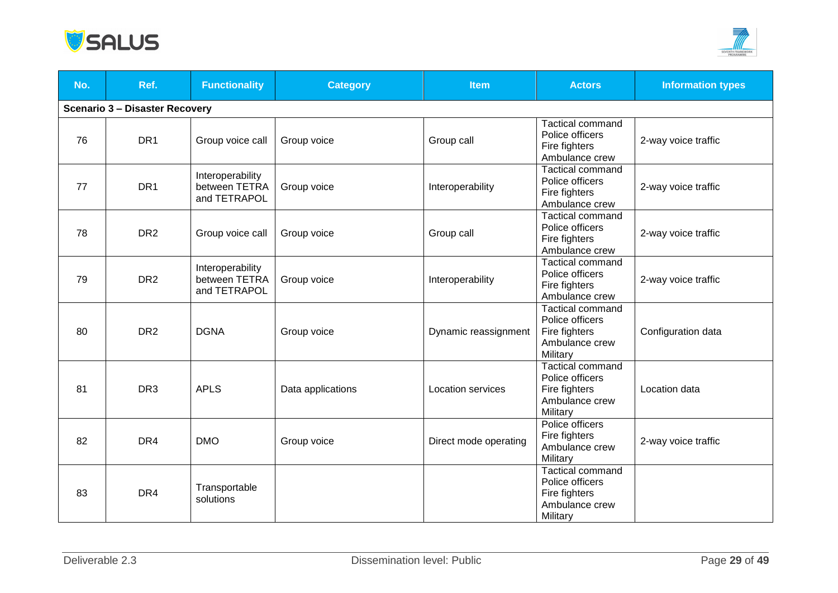



| No. | Ref.                                  | <b>Functionality</b>                              | <b>Category</b>   | <b>Item</b>              | <b>Actors</b>                                                                             | <b>Information types</b> |
|-----|---------------------------------------|---------------------------------------------------|-------------------|--------------------------|-------------------------------------------------------------------------------------------|--------------------------|
|     | <b>Scenario 3 - Disaster Recovery</b> |                                                   |                   |                          |                                                                                           |                          |
| 76  | DR <sub>1</sub>                       | Group voice call                                  | Group voice       | Group call               | <b>Tactical command</b><br>Police officers<br>Fire fighters<br>Ambulance crew             | 2-way voice traffic      |
| 77  | DR <sub>1</sub>                       | Interoperability<br>between TETRA<br>and TETRAPOL | Group voice       | Interoperability         | <b>Tactical command</b><br>Police officers<br>Fire fighters<br>Ambulance crew             | 2-way voice traffic      |
| 78  | DR <sub>2</sub>                       | Group voice call                                  | Group voice       | Group call               | Tactical command<br>Police officers<br>Fire fighters<br>Ambulance crew                    | 2-way voice traffic      |
| 79  | DR <sub>2</sub>                       | Interoperability<br>between TETRA<br>and TETRAPOL | Group voice       | Interoperability         | <b>Tactical command</b><br>Police officers<br>Fire fighters<br>Ambulance crew             | 2-way voice traffic      |
| 80  | DR <sub>2</sub>                       | <b>DGNA</b>                                       | Group voice       | Dynamic reassignment     | Tactical command<br>Police officers<br>Fire fighters<br>Ambulance crew<br>Military        | Configuration data       |
| 81  | DR <sub>3</sub>                       | <b>APLS</b>                                       | Data applications | <b>Location services</b> | <b>Tactical command</b><br>Police officers<br>Fire fighters<br>Ambulance crew<br>Military | Location data            |
| 82  | DR <sub>4</sub>                       | <b>DMO</b>                                        | Group voice       | Direct mode operating    | Police officers<br>Fire fighters<br>Ambulance crew<br>Military                            | 2-way voice traffic      |
| 83  | DR4                                   | Transportable<br>solutions                        |                   |                          | <b>Tactical command</b><br>Police officers<br>Fire fighters<br>Ambulance crew<br>Military |                          |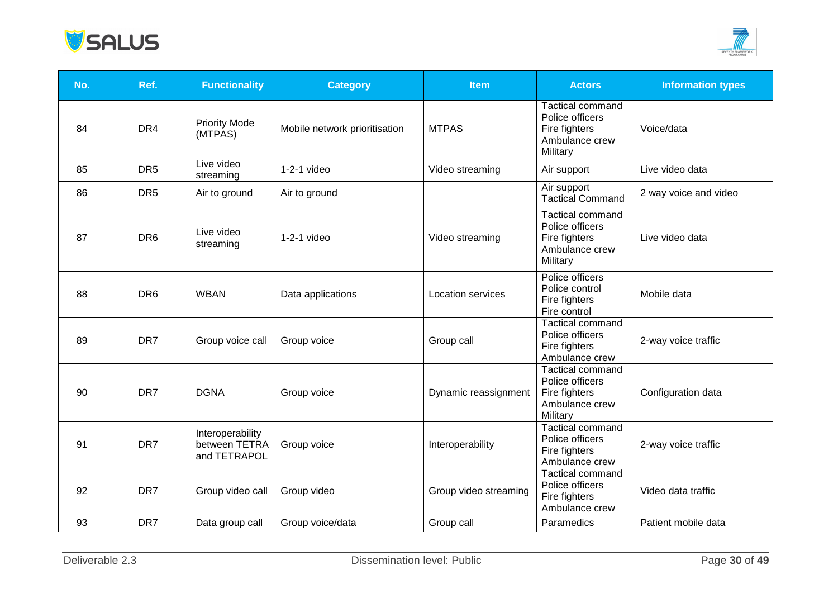



| No. | Ref.            | <b>Functionality</b>                              | <b>Category</b>               | <b>Item</b>           | <b>Actors</b>                                                                             | <b>Information types</b> |
|-----|-----------------|---------------------------------------------------|-------------------------------|-----------------------|-------------------------------------------------------------------------------------------|--------------------------|
| 84  | DR4             | <b>Priority Mode</b><br>(MTPAS)                   | Mobile network prioritisation | <b>MTPAS</b>          | <b>Tactical command</b><br>Police officers<br>Fire fighters<br>Ambulance crew<br>Military | Voice/data               |
| 85  | DR <sub>5</sub> | Live video<br>streaming                           | $1-2-1$ video                 | Video streaming       | Air support                                                                               | Live video data          |
| 86  | DR <sub>5</sub> | Air to ground                                     | Air to ground                 |                       | Air support<br><b>Tactical Command</b>                                                    | 2 way voice and video    |
| 87  | DR <sub>6</sub> | Live video<br>streaming                           | $1-2-1$ video                 | Video streaming       | <b>Tactical command</b><br>Police officers<br>Fire fighters<br>Ambulance crew<br>Military | Live video data          |
| 88  | DR <sub>6</sub> | <b>WBAN</b>                                       | Data applications             | Location services     | Police officers<br>Police control<br>Fire fighters<br>Fire control                        | Mobile data              |
| 89  | DR7             | Group voice call                                  | Group voice                   | Group call            | <b>Tactical command</b><br>Police officers<br>Fire fighters<br>Ambulance crew             | 2-way voice traffic      |
| 90  | DR7             | <b>DGNA</b>                                       | Group voice                   | Dynamic reassignment  | <b>Tactical command</b><br>Police officers<br>Fire fighters<br>Ambulance crew<br>Military | Configuration data       |
| 91  | DR7             | Interoperability<br>between TETRA<br>and TETRAPOL | Group voice                   | Interoperability      | <b>Tactical command</b><br>Police officers<br>Fire fighters<br>Ambulance crew             | 2-way voice traffic      |
| 92  | DR7             | Group video call                                  | Group video                   | Group video streaming | Tactical command<br>Police officers<br>Fire fighters<br>Ambulance crew                    | Video data traffic       |
| 93  | DR7             | Data group call                                   | Group voice/data              | Group call            | Paramedics                                                                                | Patient mobile data      |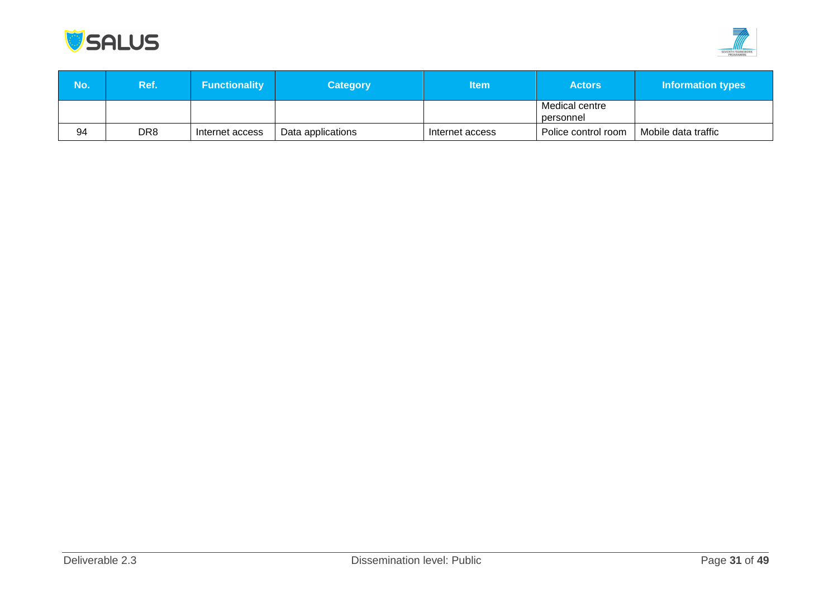



| No. | <b>Ref.</b> | <b>Functionality</b> | <b>Category</b>   | ltem            | <b>Actors</b>               | Information types   |
|-----|-------------|----------------------|-------------------|-----------------|-----------------------------|---------------------|
|     |             |                      |                   |                 | Medical centre<br>personnel |                     |
| 94  | DR8         | Internet access      | Data applications | Internet access | Police control room         | Mobile data traffic |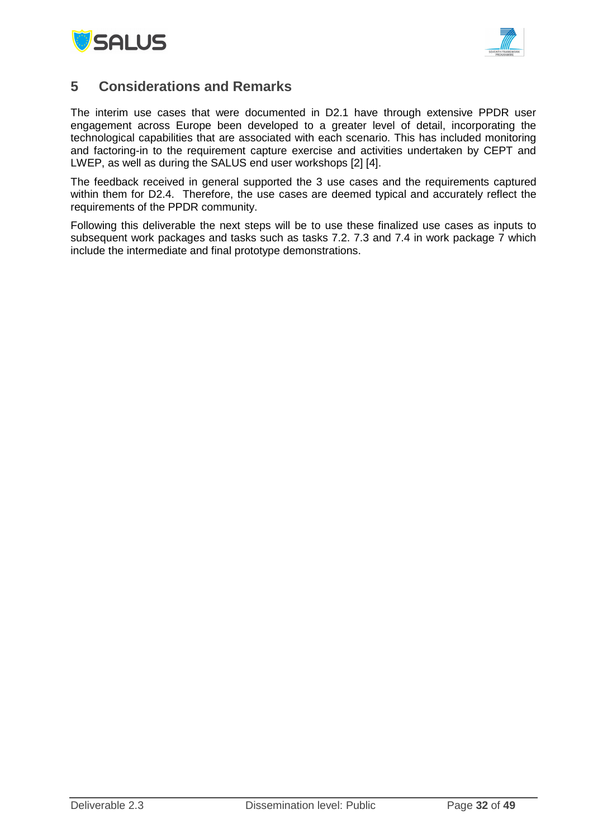



## <span id="page-31-0"></span>**5 Considerations and Remarks**

The interim use cases that were documented in D2.1 have through extensive PPDR user engagement across Europe been developed to a greater level of detail, incorporating the technological capabilities that are associated with each scenario. This has included monitoring and factoring-in to the requirement capture exercise and activities undertaken by CEPT and LWEP, as well as during the SALUS end user workshops [2] [4].

The feedback received in general supported the 3 use cases and the requirements captured within them for D2.4. Therefore, the use cases are deemed typical and accurately reflect the requirements of the PPDR community.

Following this deliverable the next steps will be to use these finalized use cases as inputs to subsequent work packages and tasks such as tasks 7.2. 7.3 and 7.4 in work package 7 which include the intermediate and final prototype demonstrations.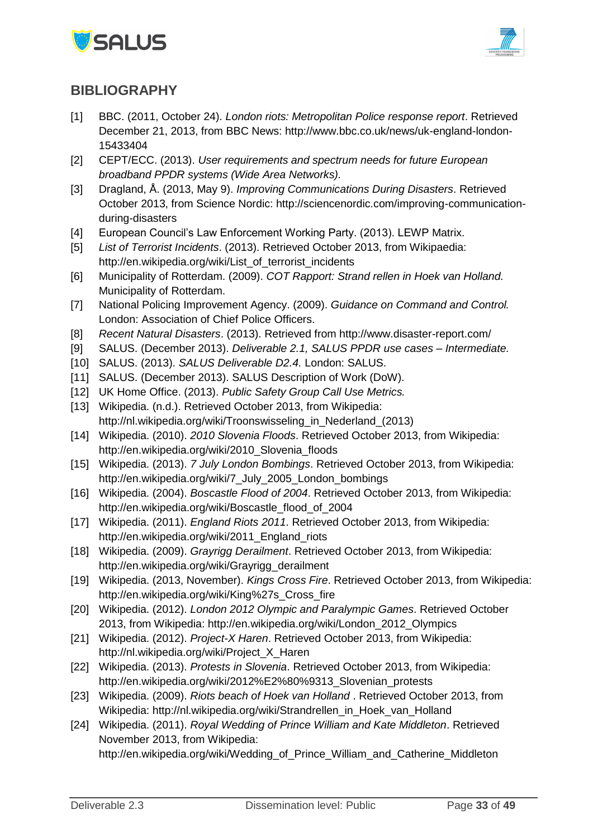



## <span id="page-32-0"></span>**BIBLIOGRAPHY**

- [1] BBC. (2011, October 24). *London riots: Metropolitan Police response report*. Retrieved December 21, 2013, from BBC News: http://www.bbc.co.uk/news/uk-england-london-15433404
- [2] CEPT/ECC. (2013). *User requirements and spectrum needs for future European broadband PPDR systems (Wide Area Networks).*
- [3] Dragland, Å. (2013, May 9). *Improving Communications During Disasters*. Retrieved October 2013, from Science Nordic: http://sciencenordic.com/improving-communicationduring-disasters
- [4] European Council's Law Enforcement Working Party. (2013). LEWP Matrix.
- [5] *List of Terrorist Incidents*. (2013). Retrieved October 2013, from Wikipaedia: http://en.wikipedia.org/wiki/List\_of\_terrorist\_incidents
- [6] Municipality of Rotterdam. (2009). *COT Rapport: Strand rellen in Hoek van Holland.* Municipality of Rotterdam.
- [7] National Policing Improvement Agency. (2009). *Guidance on Command and Control.* London: Association of Chief Police Officers.
- [8] *Recent Natural Disasters*. (2013). Retrieved from http://www.disaster-report.com/
- [9] SALUS. (December 2013). *Deliverable 2.1, SALUS PPDR use cases – Intermediate.*
- [10] SALUS. (2013). *SALUS Deliverable D2.4.* London: SALUS.
- [11] SALUS. (December 2013). SALUS Description of Work (DoW).
- [12] UK Home Office. (2013). *Public Safety Group Call Use Metrics.*
- [13] Wikipedia. (n.d.). Retrieved October 2013, from Wikipedia: http://nl.wikipedia.org/wiki/Troonswisseling\_in\_Nederland\_(2013)
- [14] Wikipedia. (2010). *2010 Slovenia Floods*. Retrieved October 2013, from Wikipedia: http://en.wikipedia.org/wiki/2010\_Slovenia\_floods
- [15] Wikipedia. (2013). *7 July London Bombings*. Retrieved October 2013, from Wikipedia: http://en.wikipedia.org/wiki/7\_July\_2005\_London\_bombings
- [16] Wikipedia. (2004). *Boscastle Flood of 2004*. Retrieved October 2013, from Wikipedia: http://en.wikipedia.org/wiki/Boscastle\_flood\_of\_2004
- [17] Wikipedia. (2011). *England Riots 2011*. Retrieved October 2013, from Wikipedia: http://en.wikipedia.org/wiki/2011\_England\_riots
- [18] Wikipedia. (2009). *Grayrigg Derailment*. Retrieved October 2013, from Wikipedia: http://en.wikipedia.org/wiki/Grayrigg\_derailment
- [19] Wikipedia. (2013, November). *Kings Cross Fire*. Retrieved October 2013, from Wikipedia: http://en.wikipedia.org/wiki/King%27s\_Cross\_fire
- [20] Wikipedia. (2012). *London 2012 Olympic and Paralympic Games*. Retrieved October 2013, from Wikipedia: http://en.wikipedia.org/wiki/London\_2012\_Olympics
- [21] Wikipedia. (2012). *Project-X Haren*. Retrieved October 2013, from Wikipedia: http://nl.wikipedia.org/wiki/Project\_X\_Haren
- [22] Wikipedia. (2013). *Protests in Slovenia*. Retrieved October 2013, from Wikipedia: http://en.wikipedia.org/wiki/2012%E2%80%9313\_Slovenian\_protests
- [23] Wikipedia. (2009). *Riots beach of Hoek van Holland* . Retrieved October 2013, from Wikipedia: http://nl.wikipedia.org/wiki/Strandrellen\_in\_Hoek\_van\_Holland
- [24] Wikipedia. (2011). *Royal Wedding of Prince William and Kate Middleton*. Retrieved November 2013, from Wikipedia:

http://en.wikipedia.org/wiki/Wedding\_of\_Prince\_William\_and\_Catherine\_Middleton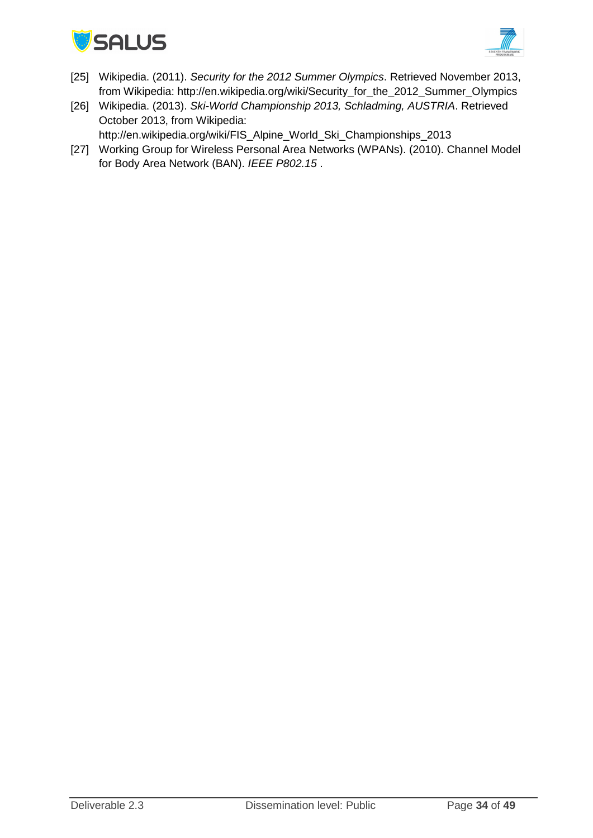



- [25] Wikipedia. (2011). *Security for the 2012 Summer Olympics*. Retrieved November 2013, from Wikipedia: http://en.wikipedia.org/wiki/Security\_for\_the\_2012\_Summer\_Olympics
- [26] Wikipedia. (2013). *Ski-World Championship 2013, Schladming, AUSTRIA*. Retrieved October 2013, from Wikipedia:

http://en.wikipedia.org/wiki/FIS\_Alpine\_World\_Ski\_Championships\_2013

[27] Working Group for Wireless Personal Area Networks (WPANs). (2010). Channel Model for Body Area Network (BAN). *IEEE P802.15* .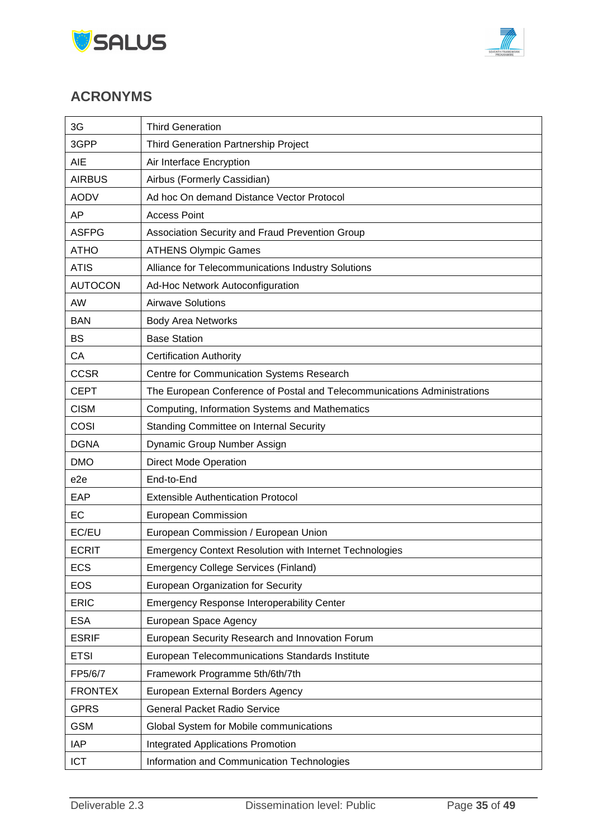



# <span id="page-34-0"></span>**ACRONYMS**

| 3G              | <b>Third Generation</b>                                                  |
|-----------------|--------------------------------------------------------------------------|
| 3GPP            | Third Generation Partnership Project                                     |
| AIE             | Air Interface Encryption                                                 |
| <b>AIRBUS</b>   | Airbus (Formerly Cassidian)                                              |
| <b>AODV</b>     | Ad hoc On demand Distance Vector Protocol                                |
| AP              | <b>Access Point</b>                                                      |
| <b>ASFPG</b>    | Association Security and Fraud Prevention Group                          |
| <b>ATHO</b>     | <b>ATHENS Olympic Games</b>                                              |
| <b>ATIS</b>     | Alliance for Telecommunications Industry Solutions                       |
| <b>AUTOCON</b>  | Ad-Hoc Network Autoconfiguration                                         |
| AW              | <b>Airwave Solutions</b>                                                 |
| <b>BAN</b>      | <b>Body Area Networks</b>                                                |
| <b>BS</b>       | <b>Base Station</b>                                                      |
| CA              | <b>Certification Authority</b>                                           |
| <b>CCSR</b>     | Centre for Communication Systems Research                                |
| <b>CEPT</b>     | The European Conference of Postal and Telecommunications Administrations |
| <b>CISM</b>     | Computing, Information Systems and Mathematics                           |
| COSI            | Standing Committee on Internal Security                                  |
| <b>DGNA</b>     | Dynamic Group Number Assign                                              |
| <b>DMO</b>      | <b>Direct Mode Operation</b>                                             |
| e <sub>2e</sub> | End-to-End                                                               |
| EAP             | <b>Extensible Authentication Protocol</b>                                |
| EC              | European Commission                                                      |
| EC/EU           | European Commission / European Union                                     |
| <b>ECRIT</b>    | <b>Emergency Context Resolution with Internet Technologies</b>           |
| <b>ECS</b>      | <b>Emergency College Services (Finland)</b>                              |
| <b>EOS</b>      | European Organization for Security                                       |
| <b>ERIC</b>     | <b>Emergency Response Interoperability Center</b>                        |
| <b>ESA</b>      | European Space Agency                                                    |
| <b>ESRIF</b>    | European Security Research and Innovation Forum                          |
| <b>ETSI</b>     | European Telecommunications Standards Institute                          |
| FP5/6/7         | Framework Programme 5th/6th/7th                                          |
| <b>FRONTEX</b>  | European External Borders Agency                                         |
| <b>GPRS</b>     | <b>General Packet Radio Service</b>                                      |
| <b>GSM</b>      | Global System for Mobile communications                                  |
| <b>IAP</b>      | <b>Integrated Applications Promotion</b>                                 |
| <b>ICT</b>      | Information and Communication Technologies                               |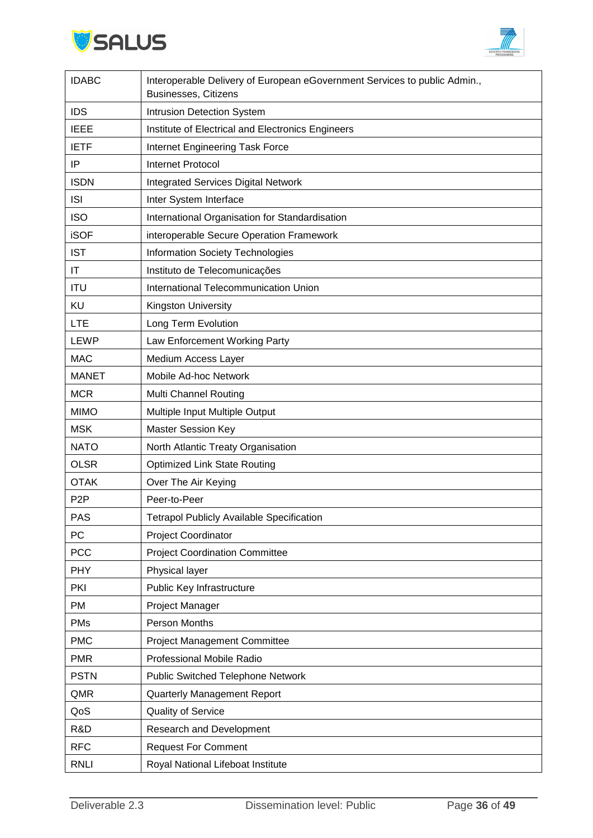



| <b>IDABC</b>     | Interoperable Delivery of European eGovernment Services to public Admin.,<br><b>Businesses, Citizens</b> |
|------------------|----------------------------------------------------------------------------------------------------------|
| <b>IDS</b>       | Intrusion Detection System                                                                               |
| <b>IEEE</b>      | Institute of Electrical and Electronics Engineers                                                        |
| <b>IETF</b>      | Internet Engineering Task Force                                                                          |
| IP               | <b>Internet Protocol</b>                                                                                 |
| <b>ISDN</b>      | <b>Integrated Services Digital Network</b>                                                               |
| <b>ISI</b>       | Inter System Interface                                                                                   |
| <b>ISO</b>       | International Organisation for Standardisation                                                           |
| <b>iSOF</b>      | interoperable Secure Operation Framework                                                                 |
| <b>IST</b>       | <b>Information Society Technologies</b>                                                                  |
| IT               | Instituto de Telecomunicações                                                                            |
| <b>ITU</b>       | International Telecommunication Union                                                                    |
| KU               | Kingston University                                                                                      |
| <b>LTE</b>       | Long Term Evolution                                                                                      |
| LEWP             | Law Enforcement Working Party                                                                            |
| <b>MAC</b>       | Medium Access Layer                                                                                      |
| <b>MANET</b>     | Mobile Ad-hoc Network                                                                                    |
| <b>MCR</b>       | Multi Channel Routing                                                                                    |
| <b>MIMO</b>      | Multiple Input Multiple Output                                                                           |
| <b>MSK</b>       | <b>Master Session Key</b>                                                                                |
| <b>NATO</b>      | North Atlantic Treaty Organisation                                                                       |
| <b>OLSR</b>      | <b>Optimized Link State Routing</b>                                                                      |
| <b>OTAK</b>      | Over The Air Keying                                                                                      |
| P <sub>2</sub> P | Peer-to-Peer                                                                                             |
| PAS              | <b>Tetrapol Publicly Available Specification</b>                                                         |
| PC               | Project Coordinator                                                                                      |
| PCC              | <b>Project Coordination Committee</b>                                                                    |
| <b>PHY</b>       | Physical layer                                                                                           |
| PKI              | Public Key Infrastructure                                                                                |
| <b>PM</b>        | Project Manager                                                                                          |
| <b>PMs</b>       | Person Months                                                                                            |
| <b>PMC</b>       | <b>Project Management Committee</b>                                                                      |
| <b>PMR</b>       | Professional Mobile Radio                                                                                |
| <b>PSTN</b>      | <b>Public Switched Telephone Network</b>                                                                 |
| QMR              | <b>Quarterly Management Report</b>                                                                       |
| QoS              | Quality of Service                                                                                       |
| R&D              | Research and Development                                                                                 |
| <b>RFC</b>       | <b>Request For Comment</b>                                                                               |
| <b>RNLI</b>      | Royal National Lifeboat Institute                                                                        |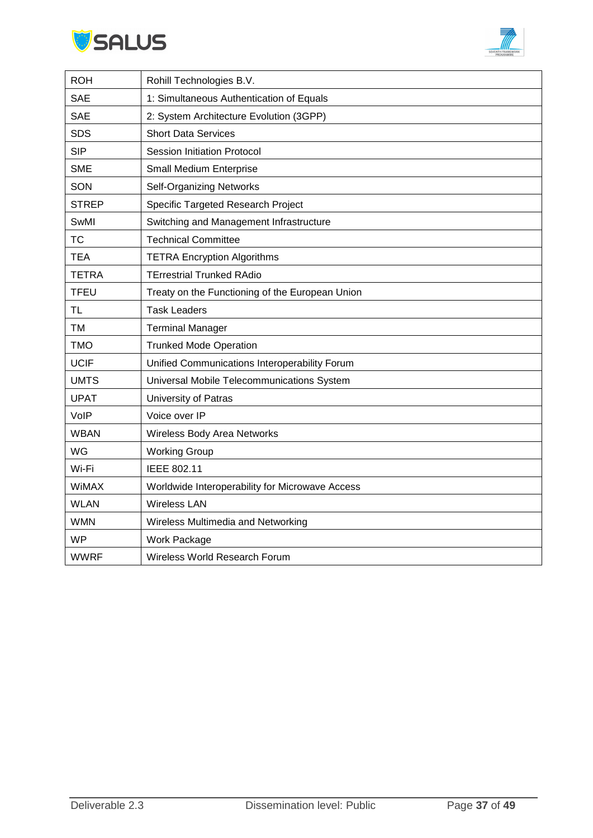



| <b>ROH</b>   | Rohill Technologies B.V.                        |
|--------------|-------------------------------------------------|
| <b>SAE</b>   | 1: Simultaneous Authentication of Equals        |
| <b>SAE</b>   | 2: System Architecture Evolution (3GPP)         |
| <b>SDS</b>   | <b>Short Data Services</b>                      |
| <b>SIP</b>   | <b>Session Initiation Protocol</b>              |
| <b>SME</b>   | <b>Small Medium Enterprise</b>                  |
| SON          | <b>Self-Organizing Networks</b>                 |
| <b>STREP</b> | Specific Targeted Research Project              |
| SwMI         | Switching and Management Infrastructure         |
| <b>TC</b>    | <b>Technical Committee</b>                      |
| <b>TEA</b>   | <b>TETRA Encryption Algorithms</b>              |
| <b>TETRA</b> | <b>TErrestrial Trunked RAdio</b>                |
| <b>TFEU</b>  | Treaty on the Functioning of the European Union |
| <b>TL</b>    | <b>Task Leaders</b>                             |
| <b>TM</b>    | <b>Terminal Manager</b>                         |
| <b>TMO</b>   | <b>Trunked Mode Operation</b>                   |
| <b>UCIF</b>  | Unified Communications Interoperability Forum   |
| <b>UMTS</b>  | Universal Mobile Telecommunications System      |
| <b>UPAT</b>  | University of Patras                            |
| VolP         | Voice over IP                                   |
| <b>WBAN</b>  | Wireless Body Area Networks                     |
| WG           | <b>Working Group</b>                            |
| Wi-Fi        | IEEE 802.11                                     |
| WiMAX        | Worldwide Interoperability for Microwave Access |
| <b>WLAN</b>  | <b>Wireless LAN</b>                             |
| <b>WMN</b>   | Wireless Multimedia and Networking              |
| <b>WP</b>    | Work Package                                    |
| <b>WWRF</b>  | Wireless World Research Forum                   |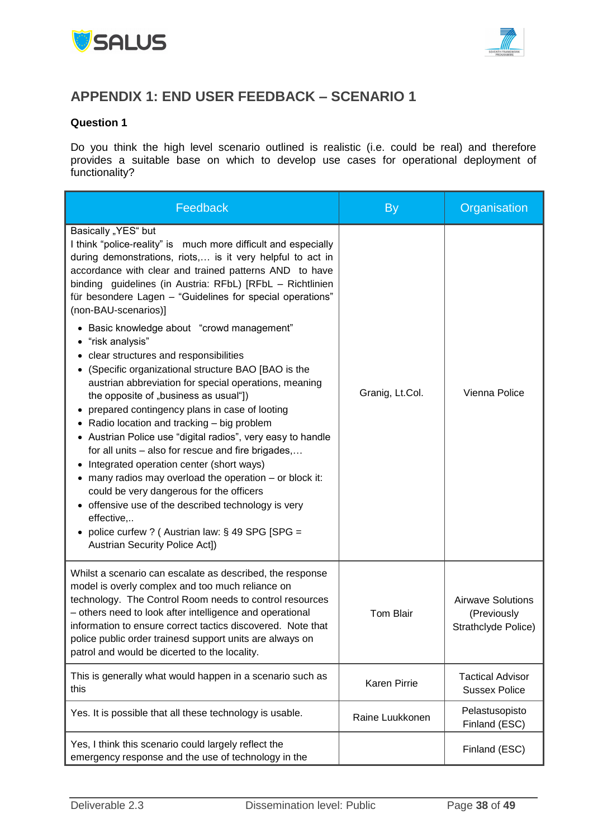



## <span id="page-37-0"></span>**APPENDIX 1: END USER FEEDBACK – SCENARIO 1**

#### **Question 1**

Do you think the high level scenario outlined is realistic (i.e. could be real) and therefore provides a suitable base on which to develop use cases for operational deployment of functionality?

| Feedback                                                                                                                                                                                                                                                                                                                                                                                                                                                                                                                                                                                                                                                                                                                                                                                                                                                                                                                                                                                                                                                                                                                                                                          | <b>By</b>        | Organisation                                                   |
|-----------------------------------------------------------------------------------------------------------------------------------------------------------------------------------------------------------------------------------------------------------------------------------------------------------------------------------------------------------------------------------------------------------------------------------------------------------------------------------------------------------------------------------------------------------------------------------------------------------------------------------------------------------------------------------------------------------------------------------------------------------------------------------------------------------------------------------------------------------------------------------------------------------------------------------------------------------------------------------------------------------------------------------------------------------------------------------------------------------------------------------------------------------------------------------|------------------|----------------------------------------------------------------|
| Basically "YES" but<br>I think "police-reality" is much more difficult and especially<br>during demonstrations, riots, is it very helpful to act in<br>accordance with clear and trained patterns AND to have<br>binding guidelines (in Austria: RFbL) [RFbL - Richtlinien<br>für besondere Lagen - "Guidelines for special operations"<br>(non-BAU-scenarios)]<br>Basic knowledge about "crowd management"<br>$\bullet$<br>"risk analysis"<br>clear structures and responsibilities<br>(Specific organizational structure BAO [BAO is the<br>austrian abbreviation for special operations, meaning<br>the opposite of "business as usual"])<br>prepared contingency plans in case of looting<br>• Radio location and tracking - big problem<br>• Austrian Police use "digital radios", very easy to handle<br>for all units – also for rescue and fire brigades,<br>• Integrated operation center (short ways)<br>• many radios may overload the operation – or block it:<br>could be very dangerous for the officers<br>• offensive use of the described technology is very<br>effective,<br>• police curfew ? (Austrian law: § 49 SPG [SPG =<br>Austrian Security Police Act]) | Granig, Lt.Col.  | Vienna Police                                                  |
| Whilst a scenario can escalate as described, the response<br>model is overly complex and too much reliance on<br>technology. The Control Room needs to control resources<br>- others need to look after intelligence and operational<br>information to ensure correct tactics discovered. Note that<br>police public order trainesd support units are always on<br>patrol and would be dicerted to the locality.                                                                                                                                                                                                                                                                                                                                                                                                                                                                                                                                                                                                                                                                                                                                                                  | <b>Tom Blair</b> | <b>Airwave Solutions</b><br>(Previously<br>Strathclyde Police) |
| This is generally what would happen in a scenario such as<br>this                                                                                                                                                                                                                                                                                                                                                                                                                                                                                                                                                                                                                                                                                                                                                                                                                                                                                                                                                                                                                                                                                                                 | Karen Pirrie     | <b>Tactical Advisor</b><br><b>Sussex Police</b>                |
| Yes. It is possible that all these technology is usable.                                                                                                                                                                                                                                                                                                                                                                                                                                                                                                                                                                                                                                                                                                                                                                                                                                                                                                                                                                                                                                                                                                                          | Raine Luukkonen  | Pelastusopisto<br>Finland (ESC)                                |
| Yes, I think this scenario could largely reflect the<br>emergency response and the use of technology in the                                                                                                                                                                                                                                                                                                                                                                                                                                                                                                                                                                                                                                                                                                                                                                                                                                                                                                                                                                                                                                                                       |                  | Finland (ESC)                                                  |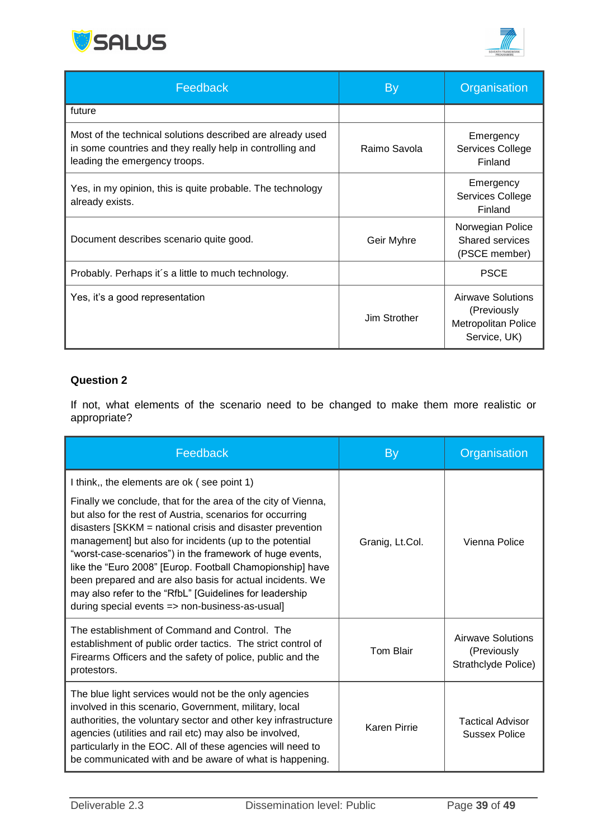



| Feedback                                                                                                                                                 | By           | Organisation                                                                   |
|----------------------------------------------------------------------------------------------------------------------------------------------------------|--------------|--------------------------------------------------------------------------------|
| future                                                                                                                                                   |              |                                                                                |
| Most of the technical solutions described are already used<br>in some countries and they really help in controlling and<br>leading the emergency troops. | Raimo Savola | Emergency<br>Services College<br>Finland                                       |
| Yes, in my opinion, this is quite probable. The technology<br>already exists.                                                                            |              | Emergency<br>Services College<br>Finland                                       |
| Document describes scenario quite good.                                                                                                                  | Geir Myhre   | Norwegian Police<br>Shared services<br>(PSCE member)                           |
| Probably. Perhaps it's a little to much technology.                                                                                                      |              | <b>PSCE</b>                                                                    |
| Yes, it's a good representation                                                                                                                          | Jim Strother | Airwave Solutions<br>(Previously<br><b>Metropolitan Police</b><br>Service, UK) |

## **Question 2**

If not, what elements of the scenario need to be changed to make them more realistic or appropriate?

| Feedback                                                                                                                                                                                                                                                                                                                                                                                                                                                                                                                                                                                              | By               | Organisation                                            |
|-------------------------------------------------------------------------------------------------------------------------------------------------------------------------------------------------------------------------------------------------------------------------------------------------------------------------------------------------------------------------------------------------------------------------------------------------------------------------------------------------------------------------------------------------------------------------------------------------------|------------------|---------------------------------------------------------|
| I think,, the elements are ok (see point 1)<br>Finally we conclude, that for the area of the city of Vienna,<br>but also for the rest of Austria, scenarios for occurring<br>disasters [SKKM = national crisis and disaster prevention<br>management] but also for incidents (up to the potential<br>"worst-case-scenarios") in the framework of huge events,<br>like the "Euro 2008" [Europ. Football Chamopionship] have<br>been prepared and are also basis for actual incidents. We<br>may also refer to the "RfbL" [Guidelines for leadership<br>during special events => non-business-as-usual] | Granig, Lt.Col.  | Vienna Police                                           |
| The establishment of Command and Control. The<br>establishment of public order tactics. The strict control of<br>Firearms Officers and the safety of police, public and the<br>protestors.                                                                                                                                                                                                                                                                                                                                                                                                            | <b>Tom Blair</b> | Airwave Solutions<br>(Previously<br>Strathclyde Police) |
| The blue light services would not be the only agencies<br>involved in this scenario, Government, military, local<br>authorities, the voluntary sector and other key infrastructure<br>agencies (utilities and rail etc) may also be involved,<br>particularly in the EOC. All of these agencies will need to<br>be communicated with and be aware of what is happening.                                                                                                                                                                                                                               | Karen Pirrie     | <b>Tactical Advisor</b><br><b>Sussex Police</b>         |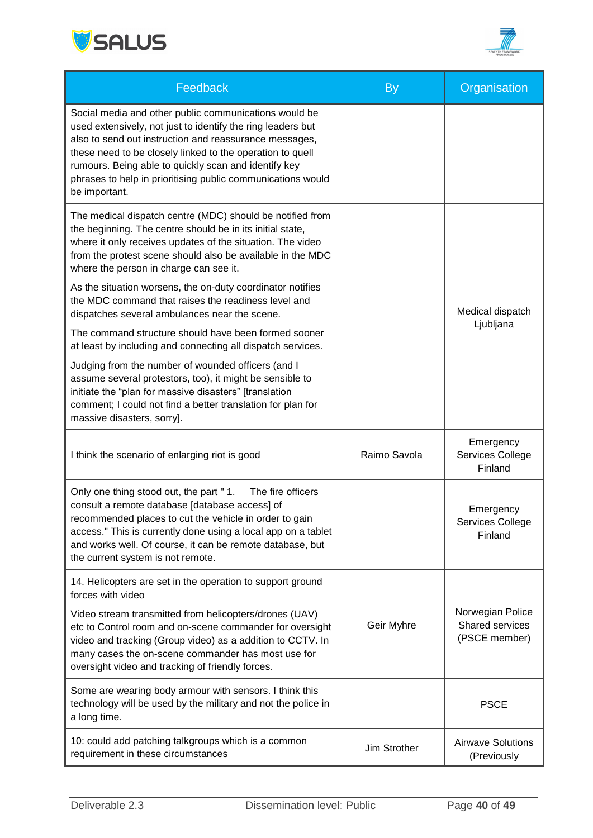



| Feedback                                                                                                                                                                                                                                                                                                                                                                            | <b>By</b>    | Organisation                                         |
|-------------------------------------------------------------------------------------------------------------------------------------------------------------------------------------------------------------------------------------------------------------------------------------------------------------------------------------------------------------------------------------|--------------|------------------------------------------------------|
| Social media and other public communications would be<br>used extensively, not just to identify the ring leaders but<br>also to send out instruction and reassurance messages,<br>these need to be closely linked to the operation to quell<br>rumours. Being able to quickly scan and identify key<br>phrases to help in prioritising public communications would<br>be important. |              |                                                      |
| The medical dispatch centre (MDC) should be notified from<br>the beginning. The centre should be in its initial state,<br>where it only receives updates of the situation. The video<br>from the protest scene should also be available in the MDC<br>where the person in charge can see it.                                                                                        |              |                                                      |
| As the situation worsens, the on-duty coordinator notifies<br>the MDC command that raises the readiness level and<br>dispatches several ambulances near the scene.                                                                                                                                                                                                                  |              | Medical dispatch                                     |
| The command structure should have been formed sooner<br>at least by including and connecting all dispatch services.                                                                                                                                                                                                                                                                 |              | Ljubljana                                            |
| Judging from the number of wounded officers (and I<br>assume several protestors, too), it might be sensible to<br>initiate the "plan for massive disasters" [translation<br>comment; I could not find a better translation for plan for<br>massive disasters, sorry].                                                                                                               |              |                                                      |
| I think the scenario of enlarging riot is good                                                                                                                                                                                                                                                                                                                                      | Raimo Savola | Emergency<br>Services College<br>Finland             |
| Only one thing stood out, the part "1.<br>The fire officers<br>consult a remote database [database access] of<br>recommended places to cut the vehicle in order to gain<br>access." This is currently done using a local app on a tablet<br>and works well. Of course, it can be remote database, but<br>the current system is not remote.                                          |              | Emergency<br>Services College<br>Finland             |
| 14. Helicopters are set in the operation to support ground<br>forces with video                                                                                                                                                                                                                                                                                                     |              |                                                      |
| Video stream transmitted from helicopters/drones (UAV)<br>etc to Control room and on-scene commander for oversight<br>video and tracking (Group video) as a addition to CCTV. In<br>many cases the on-scene commander has most use for<br>oversight video and tracking of friendly forces.                                                                                          | Geir Myhre   | Norwegian Police<br>Shared services<br>(PSCE member) |
| Some are wearing body armour with sensors. I think this<br>technology will be used by the military and not the police in<br>a long time.                                                                                                                                                                                                                                            |              | <b>PSCE</b>                                          |
| 10: could add patching talkgroups which is a common<br>requirement in these circumstances                                                                                                                                                                                                                                                                                           | Jim Strother | <b>Airwave Solutions</b><br>(Previously              |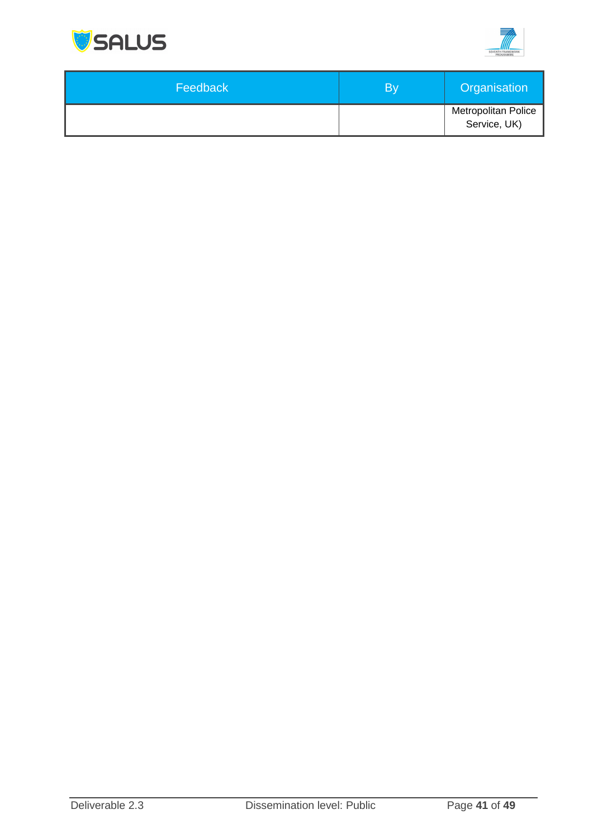



| Feedback | Bv | Organisation                               |
|----------|----|--------------------------------------------|
|          |    | <b>Metropolitan Police</b><br>Service, UK) |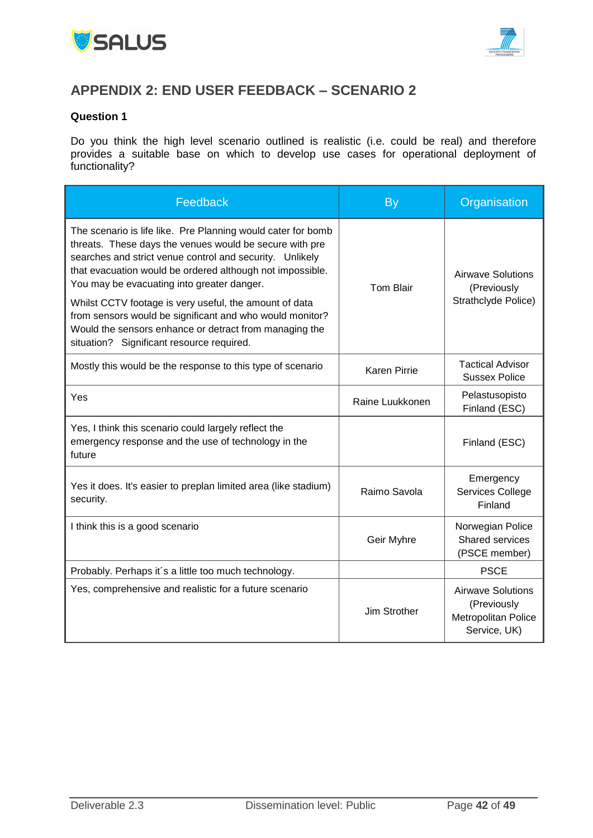



## <span id="page-41-0"></span>**APPENDIX 2: END USER FEEDBACK – SCENARIO 2**

#### **Question 1**

Do you think the high level scenario outlined is realistic (i.e. could be real) and therefore provides a suitable base on which to develop use cases for operational deployment of functionality?

| Feedback                                                                                                                                                                                                                                                                                                                                                 | By                  | Organisation                                                                   |  |
|----------------------------------------------------------------------------------------------------------------------------------------------------------------------------------------------------------------------------------------------------------------------------------------------------------------------------------------------------------|---------------------|--------------------------------------------------------------------------------|--|
| The scenario is life like. Pre Planning would cater for bomb<br>threats. These days the venues would be secure with pre<br>searches and strict venue control and security. Unlikely<br>that evacuation would be ordered although not impossible.<br>You may be evacuating into greater danger.<br>Whilst CCTV footage is very useful, the amount of data | <b>Tom Blair</b>    | <b>Airwave Solutions</b><br>(Previously<br>Strathclyde Police)                 |  |
| from sensors would be significant and who would monitor?<br>Would the sensors enhance or detract from managing the<br>situation? Significant resource required.                                                                                                                                                                                          |                     |                                                                                |  |
| Mostly this would be the response to this type of scenario                                                                                                                                                                                                                                                                                               | <b>Karen Pirrie</b> | <b>Tactical Advisor</b><br><b>Sussex Police</b>                                |  |
| Yes                                                                                                                                                                                                                                                                                                                                                      | Raine Luukkonen     | Pelastusopisto<br>Finland (ESC)                                                |  |
| Yes, I think this scenario could largely reflect the<br>emergency response and the use of technology in the<br>future                                                                                                                                                                                                                                    |                     | Finland (ESC)                                                                  |  |
| Yes it does. It's easier to preplan limited area (like stadium)<br>security.                                                                                                                                                                                                                                                                             | Raimo Savola        | Emergency<br>Services College<br>Finland                                       |  |
| I think this is a good scenario                                                                                                                                                                                                                                                                                                                          | Geir Myhre          | Norwegian Police<br><b>Shared services</b><br>(PSCE member)                    |  |
| Probably. Perhaps it's a little too much technology.                                                                                                                                                                                                                                                                                                     |                     | <b>PSCE</b>                                                                    |  |
| Yes, comprehensive and realistic for a future scenario                                                                                                                                                                                                                                                                                                   | Jim Strother        | <b>Airwave Solutions</b><br>(Previously<br>Metropolitan Police<br>Service, UK) |  |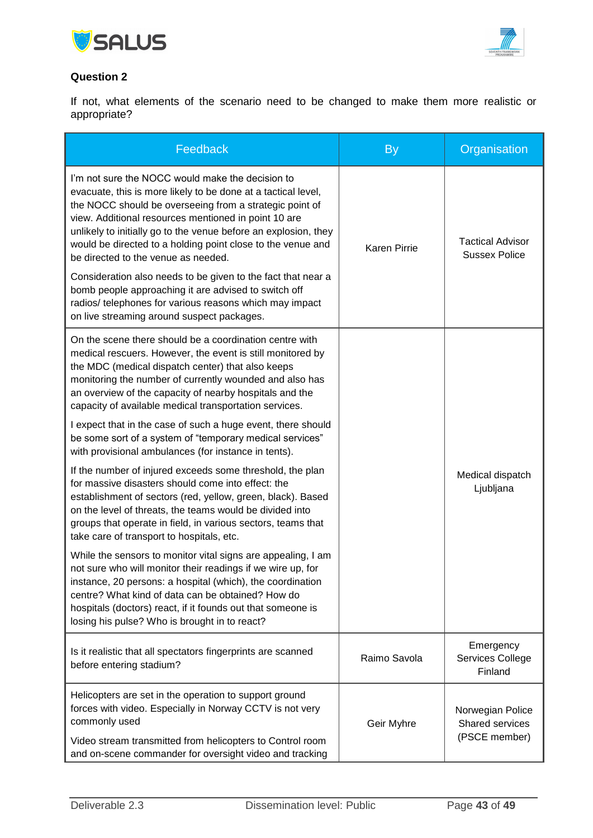



#### **Question 2**

If not, what elements of the scenario need to be changed to make them more realistic or appropriate?

| Feedback                                                                                                                                                                                                                                                                                                                                                                                                                                                                                                                                                                                                                                       | <b>By</b>           | Organisation                                                |
|------------------------------------------------------------------------------------------------------------------------------------------------------------------------------------------------------------------------------------------------------------------------------------------------------------------------------------------------------------------------------------------------------------------------------------------------------------------------------------------------------------------------------------------------------------------------------------------------------------------------------------------------|---------------------|-------------------------------------------------------------|
| I'm not sure the NOCC would make the decision to<br>evacuate, this is more likely to be done at a tactical level,<br>the NOCC should be overseeing from a strategic point of<br>view. Additional resources mentioned in point 10 are<br>unlikely to initially go to the venue before an explosion, they<br>would be directed to a holding point close to the venue and<br>be directed to the venue as needed.<br>Consideration also needs to be given to the fact that near a<br>bomb people approaching it are advised to switch off<br>radios/ telephones for various reasons which may impact<br>on live streaming around suspect packages. | <b>Karen Pirrie</b> | <b>Tactical Advisor</b><br><b>Sussex Police</b>             |
| On the scene there should be a coordination centre with<br>medical rescuers. However, the event is still monitored by<br>the MDC (medical dispatch center) that also keeps<br>monitoring the number of currently wounded and also has<br>an overview of the capacity of nearby hospitals and the<br>capacity of available medical transportation services.<br>I expect that in the case of such a huge event, there should                                                                                                                                                                                                                     |                     |                                                             |
| be some sort of a system of "temporary medical services"<br>with provisional ambulances (for instance in tents).                                                                                                                                                                                                                                                                                                                                                                                                                                                                                                                               |                     |                                                             |
| If the number of injured exceeds some threshold, the plan<br>for massive disasters should come into effect: the<br>establishment of sectors (red, yellow, green, black). Based<br>on the level of threats, the teams would be divided into<br>groups that operate in field, in various sectors, teams that<br>take care of transport to hospitals, etc.                                                                                                                                                                                                                                                                                        |                     | Medical dispatch<br>Ljubljana                               |
| While the sensors to monitor vital signs are appealing, I am<br>not sure who will monitor their readings if we wire up, for<br>instance, 20 persons: a hospital (which), the coordination<br>centre? What kind of data can be obtained? How do<br>hospitals (doctors) react, if it founds out that someone is<br>losing his pulse? Who is brought in to react?                                                                                                                                                                                                                                                                                 |                     |                                                             |
| Is it realistic that all spectators fingerprints are scanned<br>before entering stadium?                                                                                                                                                                                                                                                                                                                                                                                                                                                                                                                                                       | Raimo Savola        | Emergency<br>Services College<br>Finland                    |
| Helicopters are set in the operation to support ground<br>forces with video. Especially in Norway CCTV is not very<br>commonly used<br>Video stream transmitted from helicopters to Control room<br>and on-scene commander for oversight video and tracking                                                                                                                                                                                                                                                                                                                                                                                    | Geir Myhre          | Norwegian Police<br><b>Shared services</b><br>(PSCE member) |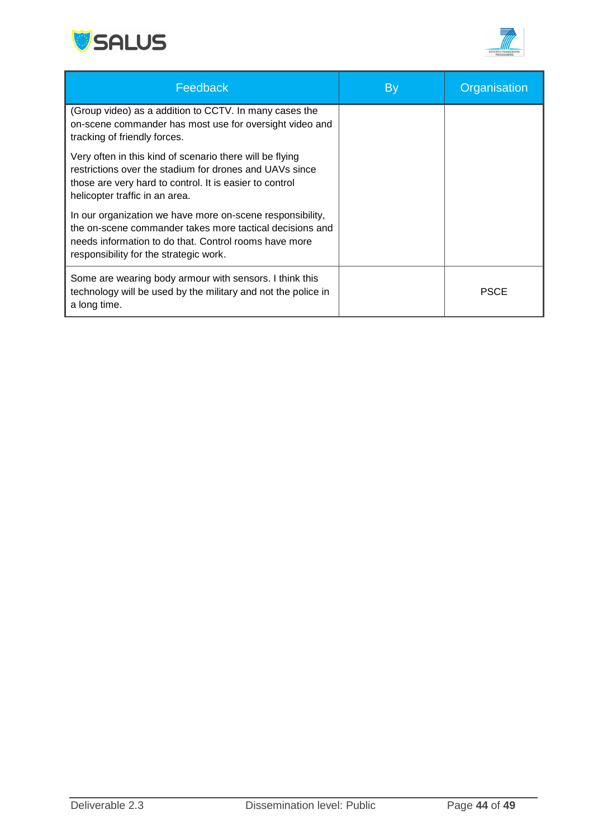



| Feedback                                                                                                                                                                                                                 | By | Organisation |
|--------------------------------------------------------------------------------------------------------------------------------------------------------------------------------------------------------------------------|----|--------------|
| (Group video) as a addition to CCTV. In many cases the<br>on-scene commander has most use for oversight video and<br>tracking of friendly forces.                                                                        |    |              |
| Very often in this kind of scenario there will be flying<br>restrictions over the stadium for drones and UAVs since<br>those are very hard to control. It is easier to control<br>helicopter traffic in an area.         |    |              |
| In our organization we have more on-scene responsibility,<br>the on-scene commander takes more tactical decisions and<br>needs information to do that. Control rooms have more<br>responsibility for the strategic work. |    |              |
| Some are wearing body armour with sensors. I think this<br>technology will be used by the military and not the police in<br>a long time.                                                                                 |    | <b>PSCE</b>  |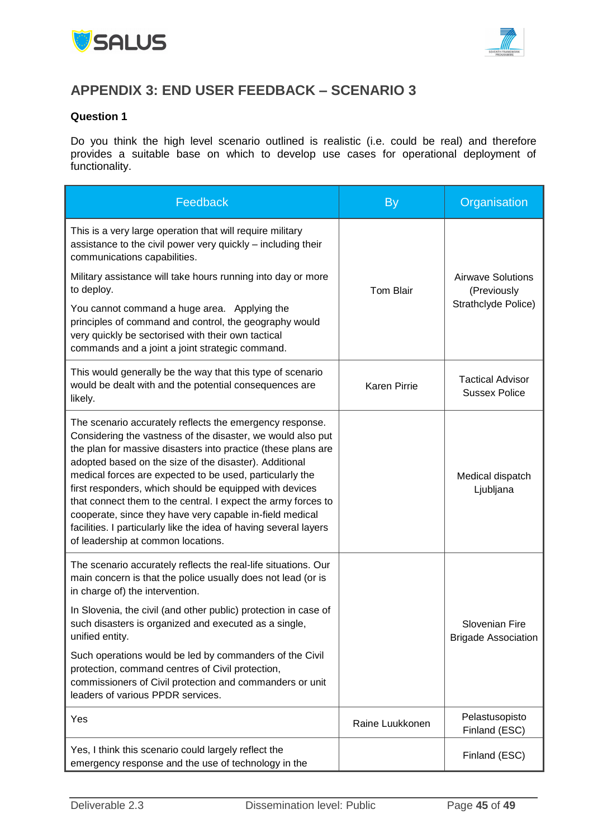



## <span id="page-44-0"></span>**APPENDIX 3: END USER FEEDBACK – SCENARIO 3**

#### **Question 1**

Do you think the high level scenario outlined is realistic (i.e. could be real) and therefore provides a suitable base on which to develop use cases for operational deployment of functionality.

| Feedback                                                                                                                                                                                                                                                                                                                                                                                                                                                                                                                                                                                                          | <b>By</b>           | Organisation                                    |  |
|-------------------------------------------------------------------------------------------------------------------------------------------------------------------------------------------------------------------------------------------------------------------------------------------------------------------------------------------------------------------------------------------------------------------------------------------------------------------------------------------------------------------------------------------------------------------------------------------------------------------|---------------------|-------------------------------------------------|--|
| This is a very large operation that will require military<br>assistance to the civil power very quickly - including their<br>communications capabilities.                                                                                                                                                                                                                                                                                                                                                                                                                                                         |                     |                                                 |  |
| Military assistance will take hours running into day or more<br>to deploy.                                                                                                                                                                                                                                                                                                                                                                                                                                                                                                                                        | <b>Tom Blair</b>    | <b>Airwave Solutions</b><br>(Previously         |  |
| You cannot command a huge area. Applying the<br>principles of command and control, the geography would<br>very quickly be sectorised with their own tactical<br>commands and a joint a joint strategic command.                                                                                                                                                                                                                                                                                                                                                                                                   |                     | Strathclyde Police)                             |  |
| This would generally be the way that this type of scenario<br>would be dealt with and the potential consequences are<br>likely.                                                                                                                                                                                                                                                                                                                                                                                                                                                                                   | <b>Karen Pirrie</b> | <b>Tactical Advisor</b><br><b>Sussex Police</b> |  |
| The scenario accurately reflects the emergency response.<br>Considering the vastness of the disaster, we would also put<br>the plan for massive disasters into practice (these plans are<br>adopted based on the size of the disaster). Additional<br>medical forces are expected to be used, particularly the<br>first responders, which should be equipped with devices<br>that connect them to the central. I expect the army forces to<br>cooperate, since they have very capable in-field medical<br>facilities. I particularly like the idea of having several layers<br>of leadership at common locations. |                     | Medical dispatch<br>Ljubljana                   |  |
| The scenario accurately reflects the real-life situations. Our<br>main concern is that the police usually does not lead (or is<br>in charge of) the intervention.                                                                                                                                                                                                                                                                                                                                                                                                                                                 |                     |                                                 |  |
| In Slovenia, the civil (and other public) protection in case of<br>such disasters is organized and executed as a single,<br>unified entity.                                                                                                                                                                                                                                                                                                                                                                                                                                                                       |                     | Slovenian Fire<br><b>Brigade Association</b>    |  |
| Such operations would be led by commanders of the Civil<br>protection, command centres of Civil protection,<br>commissioners of Civil protection and commanders or unit<br>leaders of various PPDR services.                                                                                                                                                                                                                                                                                                                                                                                                      |                     |                                                 |  |
| Yes                                                                                                                                                                                                                                                                                                                                                                                                                                                                                                                                                                                                               | Raine Luukkonen     | Pelastusopisto<br>Finland (ESC)                 |  |
| Yes, I think this scenario could largely reflect the<br>emergency response and the use of technology in the                                                                                                                                                                                                                                                                                                                                                                                                                                                                                                       |                     | Finland (ESC)                                   |  |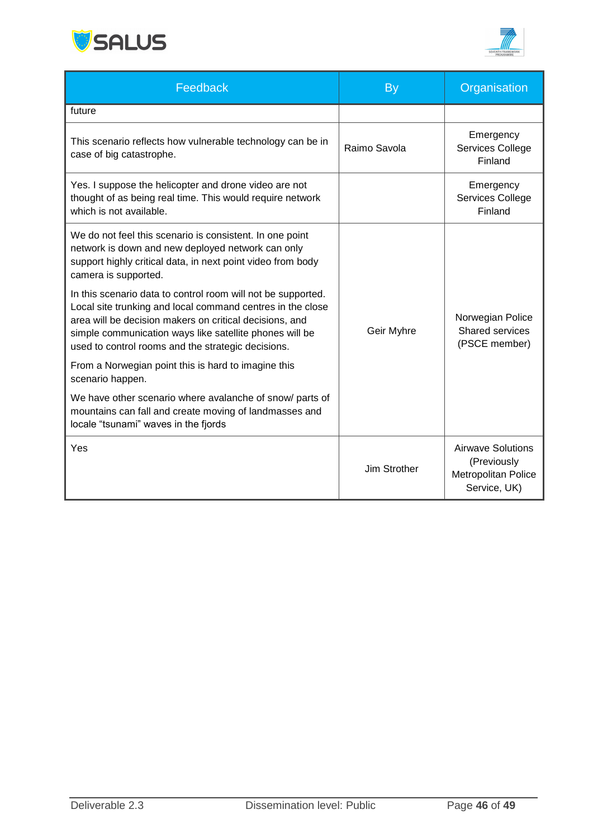



| Feedback                                                                                                                                                                                                                                                                                               | <b>By</b>           | Organisation                                                            |  |
|--------------------------------------------------------------------------------------------------------------------------------------------------------------------------------------------------------------------------------------------------------------------------------------------------------|---------------------|-------------------------------------------------------------------------|--|
| future                                                                                                                                                                                                                                                                                                 |                     |                                                                         |  |
| This scenario reflects how vulnerable technology can be in<br>case of big catastrophe.                                                                                                                                                                                                                 | Raimo Savola        | Emergency<br>Services College<br>Finland                                |  |
| Yes. I suppose the helicopter and drone video are not<br>thought of as being real time. This would require network<br>which is not available.                                                                                                                                                          |                     | Emergency<br>Services College<br>Finland                                |  |
| We do not feel this scenario is consistent. In one point<br>network is down and new deployed network can only<br>support highly critical data, in next point video from body<br>camera is supported.                                                                                                   |                     |                                                                         |  |
| In this scenario data to control room will not be supported.<br>Local site trunking and local command centres in the close<br>area will be decision makers on critical decisions, and<br>simple communication ways like satellite phones will be<br>used to control rooms and the strategic decisions. | Geir Myhre          | Norwegian Police<br><b>Shared services</b><br>(PSCE member)             |  |
| From a Norwegian point this is hard to imagine this<br>scenario happen.                                                                                                                                                                                                                                |                     |                                                                         |  |
| We have other scenario where avalanche of snow/ parts of<br>mountains can fall and create moving of landmasses and<br>locale "tsunami" waves in the fjords                                                                                                                                             |                     |                                                                         |  |
| Yes                                                                                                                                                                                                                                                                                                    | <b>Jim Strother</b> | Airwave Solutions<br>(Previously<br>Metropolitan Police<br>Service, UK) |  |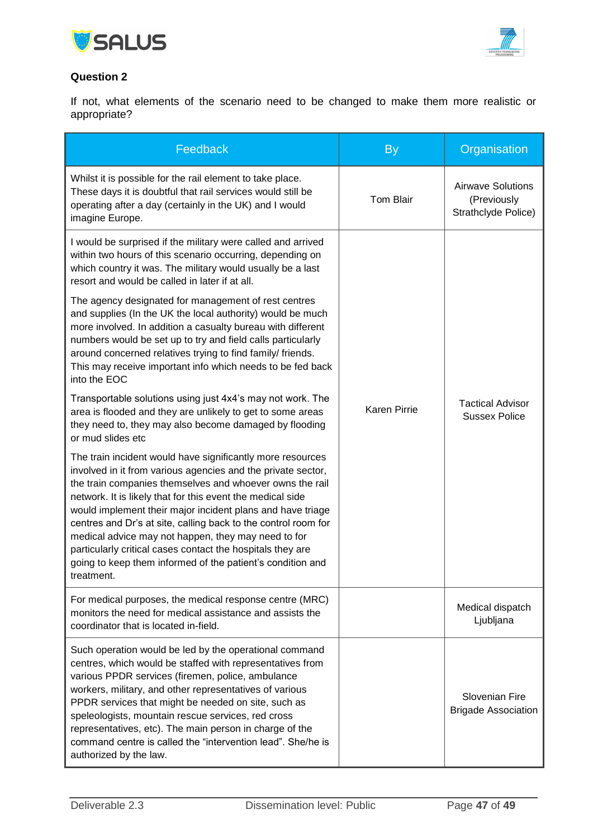



#### **Question 2**

If not, what elements of the scenario need to be changed to make them more realistic or appropriate?

| Feedback                                                                                                                                                                                                                                                                                                                                                                                                                                                                                                                                                                              | <b>By</b>        | Organisation                                                   |
|---------------------------------------------------------------------------------------------------------------------------------------------------------------------------------------------------------------------------------------------------------------------------------------------------------------------------------------------------------------------------------------------------------------------------------------------------------------------------------------------------------------------------------------------------------------------------------------|------------------|----------------------------------------------------------------|
| Whilst it is possible for the rail element to take place.<br>These days it is doubtful that rail services would still be<br>operating after a day (certainly in the UK) and I would<br>imagine Europe.                                                                                                                                                                                                                                                                                                                                                                                | <b>Tom Blair</b> | <b>Airwave Solutions</b><br>(Previously<br>Strathclyde Police) |
| I would be surprised if the military were called and arrived<br>within two hours of this scenario occurring, depending on<br>which country it was. The military would usually be a last<br>resort and would be called in later if at all.                                                                                                                                                                                                                                                                                                                                             |                  |                                                                |
| The agency designated for management of rest centres<br>and supplies (In the UK the local authority) would be much<br>more involved. In addition a casualty bureau with different<br>numbers would be set up to try and field calls particularly<br>around concerned relatives trying to find family/ friends.<br>This may receive important info which needs to be fed back<br>into the EOC                                                                                                                                                                                          |                  |                                                                |
| Transportable solutions using just 4x4's may not work. The<br>area is flooded and they are unlikely to get to some areas<br>they need to, they may also become damaged by flooding<br>or mud slides etc                                                                                                                                                                                                                                                                                                                                                                               | Karen Pirrie     | <b>Tactical Advisor</b><br><b>Sussex Police</b>                |
| The train incident would have significantly more resources<br>involved in it from various agencies and the private sector,<br>the train companies themselves and whoever owns the rail<br>network. It is likely that for this event the medical side<br>would implement their major incident plans and have triage<br>centres and Dr's at site, calling back to the control room for<br>medical advice may not happen, they may need to for<br>particularly critical cases contact the hospitals they are<br>going to keep them informed of the patient's condition and<br>treatment. |                  |                                                                |
| For medical purposes, the medical response centre (MRC)<br>monitors the need for medical assistance and assists the<br>coordinator that is located in-field.                                                                                                                                                                                                                                                                                                                                                                                                                          |                  | Medical dispatch<br>Ljubljana                                  |
| Such operation would be led by the operational command<br>centres, which would be staffed with representatives from<br>various PPDR services (firemen, police, ambulance<br>workers, military, and other representatives of various<br>PPDR services that might be needed on site, such as<br>speleologists, mountain rescue services, red cross<br>representatives, etc). The main person in charge of the<br>command centre is called the "intervention lead". She/he is<br>authorized by the law.                                                                                  |                  | Slovenian Fire<br><b>Brigade Association</b>                   |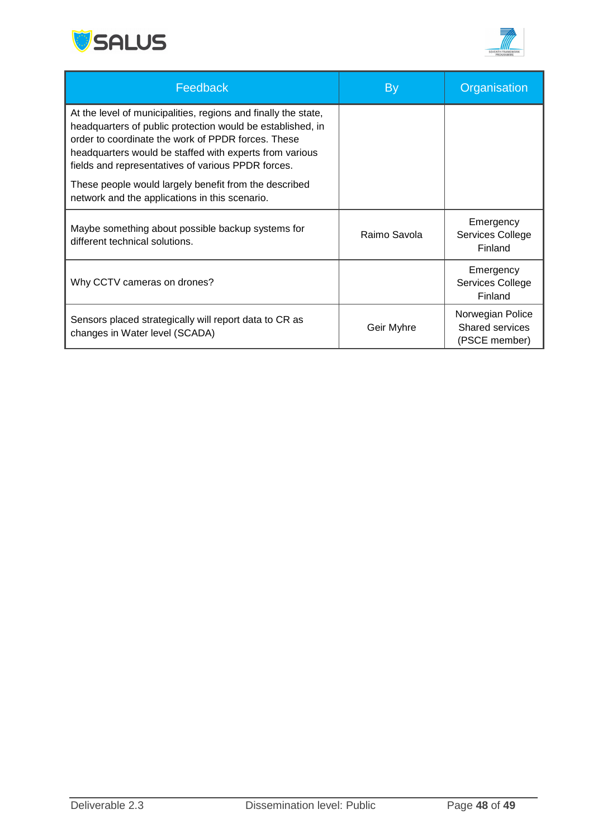



| Feedback                                                                                                                                                                                                                                                                                                                                                     | <b>By</b>    | Organisation                                         |
|--------------------------------------------------------------------------------------------------------------------------------------------------------------------------------------------------------------------------------------------------------------------------------------------------------------------------------------------------------------|--------------|------------------------------------------------------|
| At the level of municipalities, regions and finally the state,<br>headquarters of public protection would be established, in<br>order to coordinate the work of PPDR forces. These<br>headquarters would be staffed with experts from various<br>fields and representatives of various PPDR forces.<br>These people would largely benefit from the described |              |                                                      |
| network and the applications in this scenario.                                                                                                                                                                                                                                                                                                               |              |                                                      |
| Maybe something about possible backup systems for<br>different technical solutions.                                                                                                                                                                                                                                                                          | Raimo Savola | Emergency<br>Services College<br>Finland             |
| Why CCTV cameras on drones?                                                                                                                                                                                                                                                                                                                                  |              | Emergency<br>Services College<br>Finland             |
| Sensors placed strategically will report data to CR as<br>changes in Water level (SCADA)                                                                                                                                                                                                                                                                     | Geir Myhre   | Norwegian Police<br>Shared services<br>(PSCE member) |